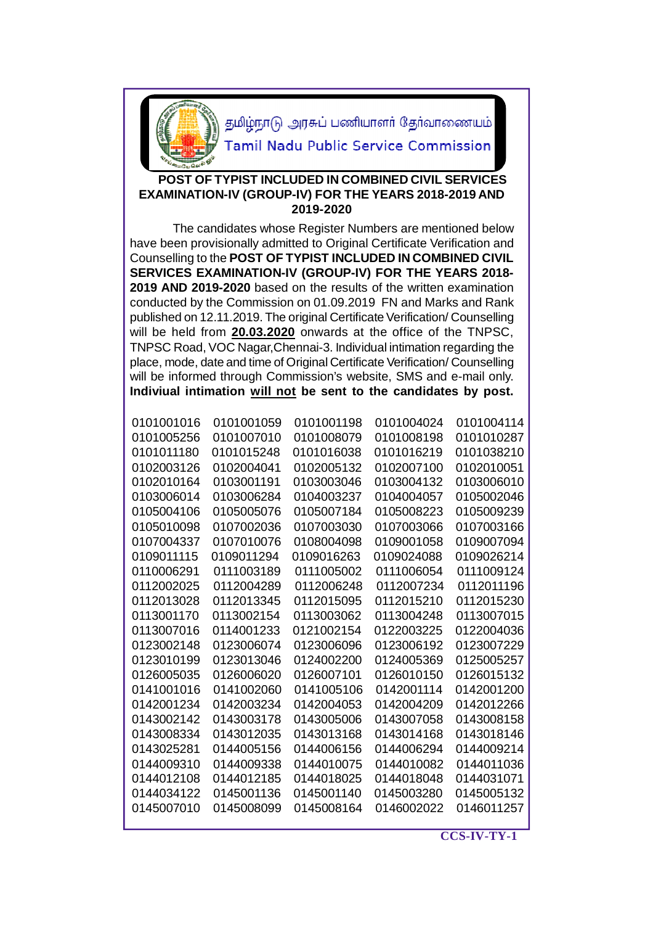

தமிழ்நாடு அரசுப் பணியாளர் தேர்வாணையம்

**Tamil Nadu Public Service Commission** 

## **POST OF TYPIST INCLUDED IN COMBINED CIVIL SERVICES EXAMINATION-IV (GROUP-IV) FOR THE YEARS 2018-2019 AND 2019-2020**

 The candidates whose Register Numbers are mentioned below have been provisionally admitted to Original Certificate Verification and Counselling to the **POST OF TYPIST INCLUDED IN COMBINED CIVIL SERVICES EXAMINATION-IV (GROUP-IV) FOR THE YEARS 2018- 2019 AND 2019-2020** based on the results of the written examination conducted by the Commission on 01.09.2019 FN and Marks and Rank published on 12.11.2019. The original Certificate Verification/ Counselling will be held from **20.03.2020** onwards at the office of the TNPSC, TNPSC Road, VOC Nagar,Chennai-3. Individual intimation regarding the place, mode, date and time of Original Certificate Verification/ Counselling will be informed through Commission's website, SMS and e-mail only. **Indiviual intimation will not be sent to the candidates by post.**

| 0101001016 | 0101001059 | 0101001198 | 0101004024 | 0101004114 |
|------------|------------|------------|------------|------------|
| 0101005256 | 0101007010 | 0101008079 | 0101008198 | 0101010287 |
| 0101011180 | 0101015248 | 0101016038 | 0101016219 | 0101038210 |
| 0102003126 | 0102004041 | 0102005132 | 0102007100 | 0102010051 |
| 0102010164 | 0103001191 | 0103003046 | 0103004132 | 0103006010 |
| 0103006014 | 0103006284 | 0104003237 | 0104004057 | 0105002046 |
| 0105004106 | 0105005076 | 0105007184 | 0105008223 | 0105009239 |
| 0105010098 | 0107002036 | 0107003030 | 0107003066 | 0107003166 |
| 0107004337 | 0107010076 | 0108004098 | 0109001058 | 0109007094 |
| 0109011115 | 0109011294 | 0109016263 | 0109024088 | 0109026214 |
| 0110006291 | 0111003189 | 0111005002 | 0111006054 | 0111009124 |
| 0112002025 | 0112004289 | 0112006248 | 0112007234 | 0112011196 |
| 0112013028 | 0112013345 | 0112015095 | 0112015210 | 0112015230 |
| 0113001170 | 0113002154 | 0113003062 | 0113004248 | 0113007015 |
| 0113007016 | 0114001233 | 0121002154 | 0122003225 | 0122004036 |
| 0123002148 | 0123006074 | 0123006096 | 0123006192 | 0123007229 |
| 0123010199 | 0123013046 | 0124002200 | 0124005369 | 0125005257 |
| 0126005035 | 0126006020 | 0126007101 | 0126010150 | 0126015132 |
| 0141001016 | 0141002060 | 0141005106 | 0142001114 | 0142001200 |
| 0142001234 | 0142003234 | 0142004053 | 0142004209 | 0142012266 |
| 0143002142 | 0143003178 | 0143005006 | 0143007058 | 0143008158 |
| 0143008334 | 0143012035 | 0143013168 | 0143014168 | 0143018146 |
| 0143025281 | 0144005156 | 0144006156 | 0144006294 | 0144009214 |
| 0144009310 | 0144009338 | 0144010075 | 0144010082 | 0144011036 |
| 0144012108 | 0144012185 | 0144018025 | 0144018048 | 0144031071 |
| 0144034122 | 0145001136 | 0145001140 | 0145003280 | 0145005132 |
| 0145007010 | 0145008099 | 0145008164 | 0146002022 | 0146011257 |
|            |            |            |            |            |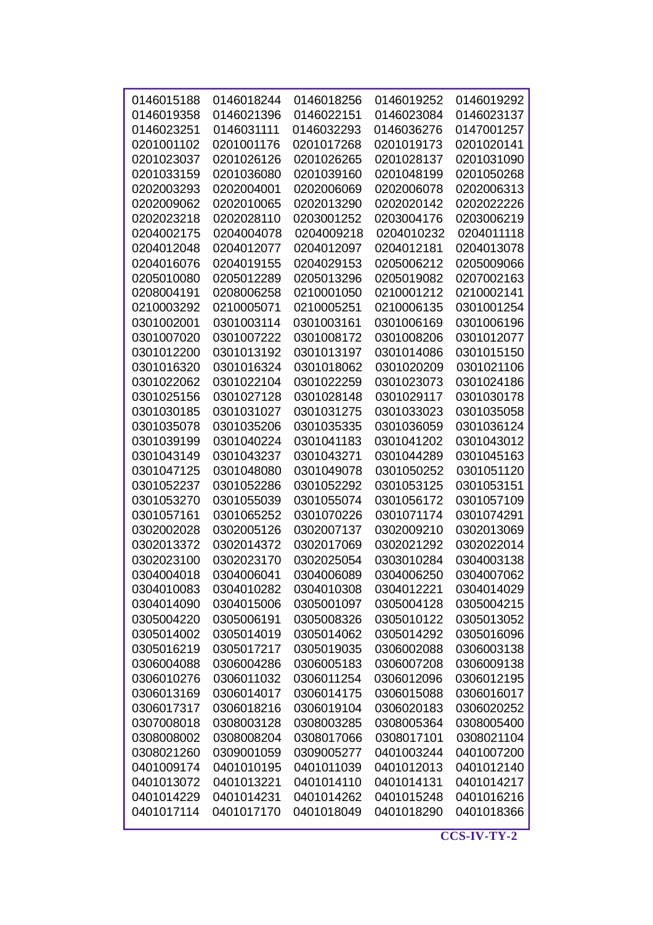| 0146015188 | 0146018244 | 0146018256 | 0146019252 | 0146019292 |
|------------|------------|------------|------------|------------|
| 0146019358 | 0146021396 | 0146022151 | 0146023084 | 0146023137 |
| 0146023251 | 0146031111 | 0146032293 | 0146036276 | 0147001257 |
| 0201001102 | 0201001176 | 0201017268 | 0201019173 | 0201020141 |
| 0201023037 | 0201026126 | 0201026265 | 0201028137 | 0201031090 |
| 0201033159 | 0201036080 | 0201039160 | 0201048199 | 0201050268 |
| 0202003293 | 0202004001 | 0202006069 | 0202006078 | 0202006313 |
| 0202009062 | 0202010065 | 0202013290 | 0202020142 | 0202022226 |
| 0202023218 | 0202028110 | 0203001252 | 0203004176 | 0203006219 |
| 0204002175 | 0204004078 | 0204009218 | 0204010232 | 0204011118 |
| 0204012048 | 0204012077 | 0204012097 | 0204012181 | 0204013078 |
| 0204016076 | 0204019155 | 0204029153 | 0205006212 | 0205009066 |
| 0205010080 | 0205012289 | 0205013296 | 0205019082 | 0207002163 |
| 0208004191 | 0208006258 | 0210001050 | 0210001212 | 0210002141 |
| 0210003292 | 0210005071 | 0210005251 | 0210006135 | 0301001254 |
| 0301002001 | 0301003114 | 0301003161 | 0301006169 | 0301006196 |
| 0301007020 | 0301007222 | 0301008172 | 0301008206 | 0301012077 |
| 0301012200 | 0301013192 | 0301013197 | 0301014086 | 0301015150 |
| 0301016320 | 0301016324 | 0301018062 | 0301020209 | 0301021106 |
| 0301022062 | 0301022104 | 0301022259 | 0301023073 | 0301024186 |
| 0301025156 | 0301027128 | 0301028148 | 0301029117 | 0301030178 |
| 0301030185 | 0301031027 | 0301031275 | 0301033023 | 0301035058 |
| 0301035078 | 0301035206 | 0301035335 | 0301036059 | 0301036124 |
| 0301039199 | 0301040224 | 0301041183 | 0301041202 | 0301043012 |
| 0301043149 | 0301043237 | 0301043271 | 0301044289 | 0301045163 |
| 0301047125 | 0301048080 | 0301049078 | 0301050252 | 0301051120 |
| 0301052237 | 0301052286 | 0301052292 | 0301053125 | 0301053151 |
| 0301053270 | 0301055039 | 0301055074 | 0301056172 | 0301057109 |
| 0301057161 | 0301065252 | 0301070226 | 0301071174 | 0301074291 |
| 0302002028 | 0302005126 | 0302007137 | 0302009210 | 0302013069 |
| 0302013372 | 0302014372 | 0302017069 | 0302021292 | 0302022014 |
| 0302023100 | 0302023170 | 0302025054 | 0303010284 | 0304003138 |
| 0304004018 | 0304006041 | 0304006089 | 0304006250 | 0304007062 |
| 0304010083 | 0304010282 | 0304010308 | 0304012221 | 0304014029 |
| 0304014090 | 0304015006 | 0305001097 | 0305004128 | 0305004215 |
| 0305004220 | 0305006191 | 0305008326 | 0305010122 | 0305013052 |
| 0305014002 | 0305014019 | 0305014062 | 0305014292 | 0305016096 |
| 0305016219 | 0305017217 | 0305019035 | 0306002088 | 0306003138 |
| 0306004088 | 0306004286 | 0306005183 | 0306007208 | 0306009138 |
| 0306010276 | 0306011032 | 0306011254 | 0306012096 | 0306012195 |
| 0306013169 | 0306014017 | 0306014175 | 0306015088 | 0306016017 |
| 0306017317 | 0306018216 | 0306019104 | 0306020183 | 0306020252 |
| 0307008018 | 0308003128 | 0308003285 | 0308005364 | 0308005400 |
| 0308008002 | 0308008204 | 0308017066 | 0308017101 | 0308021104 |
| 0308021260 | 0309001059 | 0309005277 | 0401003244 | 0401007200 |
| 0401009174 | 0401010195 | 0401011039 | 0401012013 | 0401012140 |
| 0401013072 | 0401013221 | 0401014110 | 0401014131 | 0401014217 |
| 0401014229 | 0401014231 | 0401014262 | 0401015248 | 0401016216 |
| 0401017114 | 0401017170 | 0401018049 | 0401018290 | 0401018366 |
|            |            |            |            |            |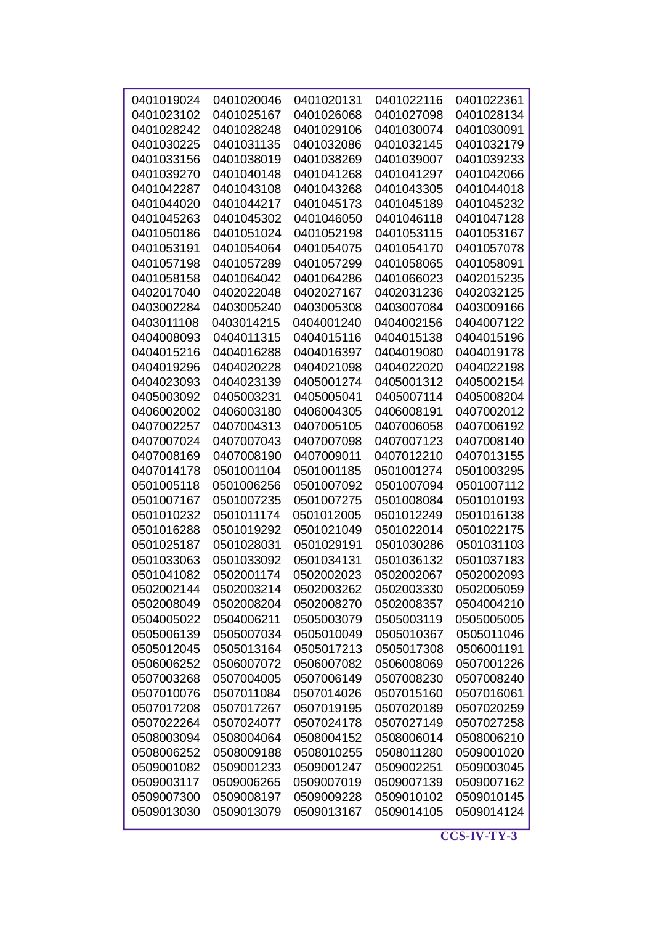| 0401019024 | 0401020046 | 0401020131 | 0401022116 | 0401022361 |
|------------|------------|------------|------------|------------|
| 0401023102 | 0401025167 | 0401026068 | 0401027098 | 0401028134 |
| 0401028242 | 0401028248 | 0401029106 | 0401030074 | 0401030091 |
| 0401030225 | 0401031135 | 0401032086 | 0401032145 | 0401032179 |
| 0401033156 | 0401038019 | 0401038269 | 0401039007 | 0401039233 |
| 0401039270 | 0401040148 | 0401041268 | 0401041297 | 0401042066 |
| 0401042287 | 0401043108 | 0401043268 | 0401043305 | 0401044018 |
| 0401044020 | 0401044217 | 0401045173 | 0401045189 | 0401045232 |
| 0401045263 | 0401045302 | 0401046050 | 0401046118 | 0401047128 |
| 0401050186 | 0401051024 | 0401052198 | 0401053115 | 0401053167 |
| 0401053191 | 0401054064 | 0401054075 | 0401054170 | 0401057078 |
| 0401057198 | 0401057289 | 0401057299 | 0401058065 | 0401058091 |
| 0401058158 | 0401064042 | 0401064286 | 0401066023 | 0402015235 |
| 0402017040 | 0402022048 | 0402027167 | 0402031236 | 0402032125 |
| 0403002284 | 0403005240 | 0403005308 | 0403007084 | 0403009166 |
| 0403011108 | 0403014215 | 0404001240 | 0404002156 | 0404007122 |
| 0404008093 | 0404011315 | 0404015116 | 0404015138 | 0404015196 |
| 0404015216 | 0404016288 | 0404016397 | 0404019080 | 0404019178 |
| 0404019296 | 0404020228 | 0404021098 | 0404022020 | 0404022198 |
| 0404023093 | 0404023139 | 0405001274 | 0405001312 | 0405002154 |
| 0405003092 | 0405003231 | 0405005041 | 0405007114 | 0405008204 |
| 0406002002 | 0406003180 | 0406004305 | 0406008191 | 0407002012 |
| 0407002257 | 0407004313 | 0407005105 | 0407006058 | 0407006192 |
| 0407007024 | 0407007043 | 0407007098 | 0407007123 | 0407008140 |
| 0407008169 | 0407008190 | 0407009011 | 0407012210 | 0407013155 |
| 0407014178 | 0501001104 | 0501001185 | 0501001274 | 0501003295 |
| 0501005118 | 0501006256 | 0501007092 | 0501007094 | 0501007112 |
| 0501007167 | 0501007235 | 0501007275 | 0501008084 | 0501010193 |
| 0501010232 | 0501011174 | 0501012005 | 0501012249 | 0501016138 |
| 0501016288 | 0501019292 | 0501021049 | 0501022014 | 0501022175 |
| 0501025187 | 0501028031 | 0501029191 | 0501030286 | 0501031103 |
| 0501033063 | 0501033092 | 0501034131 | 0501036132 | 0501037183 |
| 0501041082 | 0502001174 | 0502002023 | 0502002067 | 0502002093 |
| 0502002144 | 0502003214 | 0502003262 | 0502003330 | 0502005059 |
| 0502008049 | 0502008204 | 0502008270 | 0502008357 | 0504004210 |
| 0504005022 | 0504006211 | 0505003079 | 0505003119 | 0505005005 |
| 0505006139 | 0505007034 | 0505010049 | 0505010367 | 0505011046 |
| 0505012045 | 0505013164 | 0505017213 | 0505017308 | 0506001191 |
| 0506006252 | 0506007072 | 0506007082 | 0506008069 | 0507001226 |
| 0507003268 | 0507004005 | 0507006149 | 0507008230 | 0507008240 |
| 0507010076 | 0507011084 | 0507014026 | 0507015160 | 0507016061 |
| 0507017208 | 0507017267 | 0507019195 | 0507020189 | 0507020259 |
| 0507022264 | 0507024077 | 0507024178 | 0507027149 | 0507027258 |
| 0508003094 | 0508004064 | 0508004152 | 0508006014 | 0508006210 |
| 0508006252 | 0508009188 | 0508010255 | 0508011280 | 0509001020 |
| 0509001082 | 0509001233 | 0509001247 | 0509002251 | 0509003045 |
| 0509003117 | 0509006265 | 0509007019 | 0509007139 | 0509007162 |
| 0509007300 | 0509008197 | 0509009228 | 0509010102 | 0509010145 |
| 0509013030 | 0509013079 | 0509013167 | 0509014105 | 0509014124 |
|            |            |            |            |            |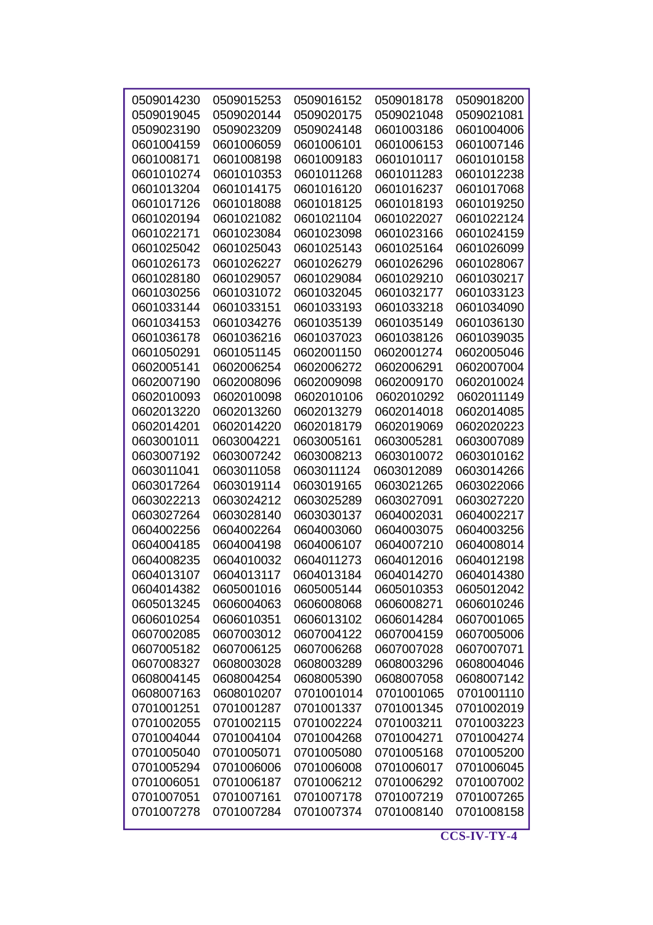| 0509014230 |            |            | 0509018178 |            |
|------------|------------|------------|------------|------------|
|            | 0509015253 | 0509016152 |            | 0509018200 |
| 0509019045 | 0509020144 | 0509020175 | 0509021048 | 0509021081 |
| 0509023190 | 0509023209 | 0509024148 | 0601003186 | 0601004006 |
| 0601004159 | 0601006059 | 0601006101 | 0601006153 | 0601007146 |
| 0601008171 | 0601008198 | 0601009183 | 0601010117 | 0601010158 |
| 0601010274 | 0601010353 | 0601011268 | 0601011283 | 0601012238 |
| 0601013204 | 0601014175 | 0601016120 | 0601016237 | 0601017068 |
| 0601017126 | 0601018088 | 0601018125 | 0601018193 | 0601019250 |
| 0601020194 | 0601021082 | 0601021104 | 0601022027 | 0601022124 |
| 0601022171 | 0601023084 | 0601023098 | 0601023166 | 0601024159 |
| 0601025042 | 0601025043 | 0601025143 | 0601025164 | 0601026099 |
| 0601026173 | 0601026227 | 0601026279 | 0601026296 | 0601028067 |
| 0601028180 | 0601029057 | 0601029084 | 0601029210 | 0601030217 |
| 0601030256 | 0601031072 | 0601032045 | 0601032177 | 0601033123 |
| 0601033144 | 0601033151 | 0601033193 | 0601033218 | 0601034090 |
| 0601034153 | 0601034276 | 0601035139 | 0601035149 | 0601036130 |
| 0601036178 | 0601036216 | 0601037023 | 0601038126 | 0601039035 |
| 0601050291 | 0601051145 | 0602001150 | 0602001274 | 0602005046 |
| 0602005141 | 0602006254 | 0602006272 | 0602006291 | 0602007004 |
| 0602007190 | 0602008096 | 0602009098 | 0602009170 | 0602010024 |
| 0602010093 | 0602010098 | 0602010106 | 0602010292 | 0602011149 |
| 0602013220 | 0602013260 | 0602013279 | 0602014018 | 0602014085 |
| 0602014201 | 0602014220 | 0602018179 | 0602019069 | 0602020223 |
| 0603001011 | 0603004221 | 0603005161 | 0603005281 | 0603007089 |
| 0603007192 | 0603007242 | 0603008213 | 0603010072 | 0603010162 |
| 0603011041 | 0603011058 | 0603011124 | 0603012089 | 0603014266 |
| 0603017264 | 0603019114 | 0603019165 | 0603021265 | 0603022066 |
| 0603022213 | 0603024212 | 0603025289 | 0603027091 | 0603027220 |
| 0603027264 | 0603028140 | 0603030137 | 0604002031 | 0604002217 |
| 0604002256 | 0604002264 | 0604003060 | 0604003075 | 0604003256 |
| 0604004185 | 0604004198 | 0604006107 | 0604007210 | 0604008014 |
| 0604008235 | 0604010032 | 0604011273 | 0604012016 | 0604012198 |
| 0604013107 | 0604013117 | 0604013184 | 0604014270 | 0604014380 |
| 0604014382 | 0605001016 | 0605005144 | 0605010353 | 0605012042 |
| 0605013245 | 0606004063 | 0606008068 | 0606008271 | 0606010246 |
| 0606010254 | 0606010351 | 0606013102 | 0606014284 | 0607001065 |
| 0607002085 | 0607003012 | 0607004122 | 0607004159 | 0607005006 |
| 0607005182 | 0607006125 | 0607006268 | 0607007028 | 0607007071 |
| 0607008327 | 0608003028 | 0608003289 | 0608003296 | 0608004046 |
| 0608004145 | 0608004254 | 0608005390 | 0608007058 | 0608007142 |
| 0608007163 | 0608010207 | 0701001014 | 0701001065 | 0701001110 |
| 0701001251 | 0701001287 | 0701001337 | 0701001345 | 0701002019 |
| 0701002055 | 0701002115 | 0701002224 | 0701003211 | 0701003223 |
| 0701004044 | 0701004104 | 0701004268 | 0701004271 | 0701004274 |
| 0701005040 | 0701005071 | 0701005080 | 0701005168 | 0701005200 |
| 0701005294 | 0701006006 | 0701006008 | 0701006017 | 0701006045 |
| 0701006051 | 0701006187 | 0701006212 | 0701006292 | 0701007002 |
| 0701007051 | 0701007161 | 0701007178 | 0701007219 | 0701007265 |
| 0701007278 | 0701007284 | 0701007374 | 0701008140 | 0701008158 |
|            |            |            |            |            |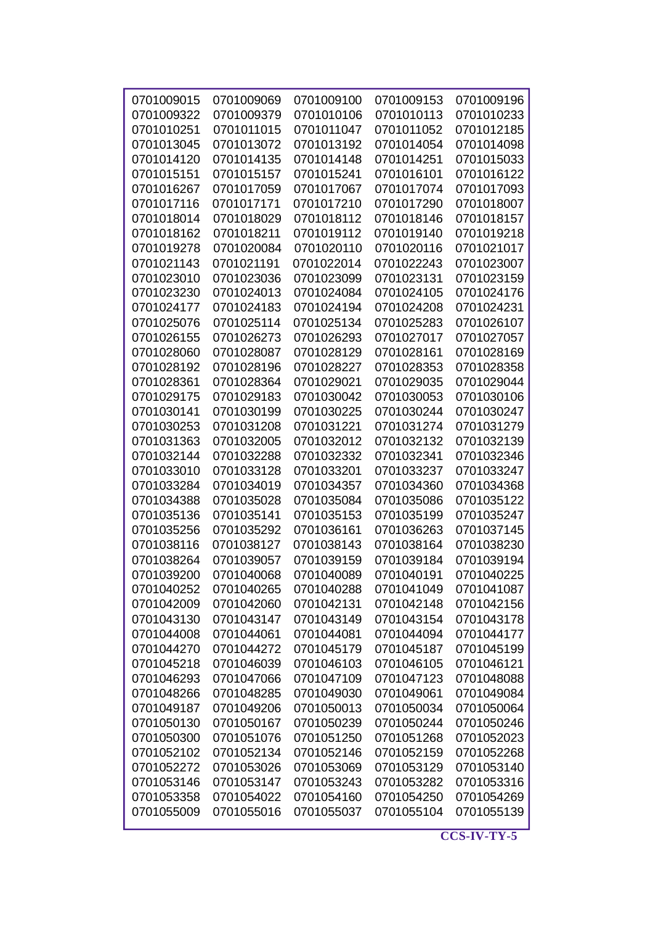| 0701009015 | 0701009069 | 0701009100 | 0701009153 | 0701009196 |
|------------|------------|------------|------------|------------|
| 0701009322 | 0701009379 | 0701010106 | 0701010113 | 0701010233 |
| 0701010251 | 0701011015 | 0701011047 | 0701011052 | 0701012185 |
| 0701013045 | 0701013072 | 0701013192 | 0701014054 | 0701014098 |
| 0701014120 | 0701014135 | 0701014148 | 0701014251 | 0701015033 |
| 0701015151 | 0701015157 | 0701015241 | 0701016101 | 0701016122 |
| 0701016267 | 0701017059 | 0701017067 | 0701017074 | 0701017093 |
| 0701017116 | 0701017171 | 0701017210 | 0701017290 | 0701018007 |
| 0701018014 | 0701018029 | 0701018112 | 0701018146 | 0701018157 |
| 0701018162 | 0701018211 | 0701019112 | 0701019140 | 0701019218 |
| 0701019278 | 0701020084 | 0701020110 | 0701020116 | 0701021017 |
| 0701021143 | 0701021191 | 0701022014 | 0701022243 | 0701023007 |
| 0701023010 | 0701023036 | 0701023099 | 0701023131 | 0701023159 |
| 0701023230 | 0701024013 | 0701024084 | 0701024105 | 0701024176 |
| 0701024177 | 0701024183 | 0701024194 | 0701024208 | 0701024231 |
| 0701025076 | 0701025114 | 0701025134 | 0701025283 | 0701026107 |
| 0701026155 | 0701026273 | 0701026293 | 0701027017 | 0701027057 |
| 0701028060 | 0701028087 | 0701028129 | 0701028161 | 0701028169 |
| 0701028192 | 0701028196 | 0701028227 | 0701028353 | 0701028358 |
| 0701028361 | 0701028364 | 0701029021 | 0701029035 | 0701029044 |
| 0701029175 | 0701029183 | 0701030042 | 0701030053 | 0701030106 |
| 0701030141 | 0701030199 | 0701030225 | 0701030244 | 0701030247 |
| 0701030253 | 0701031208 | 0701031221 | 0701031274 | 0701031279 |
| 0701031363 | 0701032005 | 0701032012 | 0701032132 | 0701032139 |
| 0701032144 | 0701032288 | 0701032332 | 0701032341 | 0701032346 |
| 0701033010 | 0701033128 | 0701033201 | 0701033237 | 0701033247 |
| 0701033284 | 0701034019 | 0701034357 | 0701034360 | 0701034368 |
| 0701034388 | 0701035028 | 0701035084 | 0701035086 | 0701035122 |
| 0701035136 | 0701035141 | 0701035153 | 0701035199 | 0701035247 |
| 0701035256 | 0701035292 | 0701036161 | 0701036263 | 0701037145 |
| 0701038116 | 0701038127 | 0701038143 | 0701038164 | 0701038230 |
| 0701038264 | 0701039057 | 0701039159 | 0701039184 | 0701039194 |
| 0701039200 | 0701040068 | 0701040089 | 0701040191 | 0701040225 |
|            | 0701040265 |            |            |            |
| 0701040252 |            | 0701040288 | 0701041049 | 0701041087 |
| 0701042009 | 0701042060 | 0701042131 | 0701042148 | 0701042156 |
| 0701043130 | 0701043147 | 0701043149 | 0701043154 | 0701043178 |
| 0701044008 | 0701044061 | 0701044081 | 0701044094 | 0701044177 |
| 0701044270 | 0701044272 | 0701045179 | 0701045187 | 0701045199 |
| 0701045218 | 0701046039 | 0701046103 | 0701046105 | 0701046121 |
| 0701046293 | 0701047066 | 0701047109 | 0701047123 | 0701048088 |
| 0701048266 | 0701048285 | 0701049030 | 0701049061 | 0701049084 |
| 0701049187 | 0701049206 | 0701050013 | 0701050034 | 0701050064 |
| 0701050130 | 0701050167 | 0701050239 | 0701050244 | 0701050246 |
| 0701050300 | 0701051076 | 0701051250 | 0701051268 | 0701052023 |
| 0701052102 | 0701052134 | 0701052146 | 0701052159 | 0701052268 |
| 0701052272 | 0701053026 | 0701053069 | 0701053129 | 0701053140 |
| 0701053146 | 0701053147 | 0701053243 | 0701053282 | 0701053316 |
| 0701053358 | 0701054022 | 0701054160 | 0701054250 | 0701054269 |
| 0701055009 | 0701055016 | 0701055037 | 0701055104 | 0701055139 |
|            |            |            |            |            |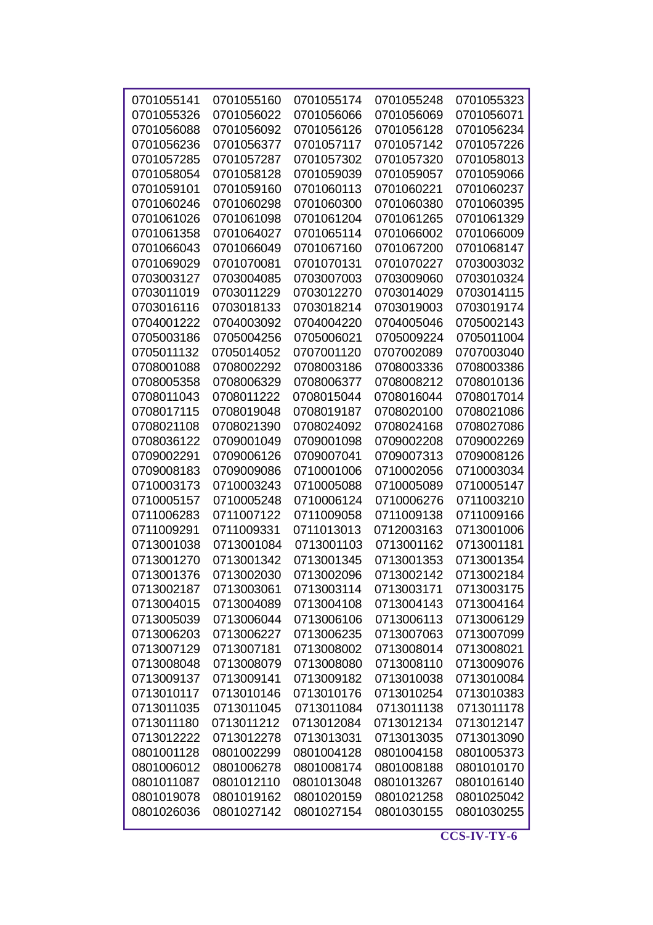|            |            |            |            | 0701055323 |
|------------|------------|------------|------------|------------|
| 0701055141 | 0701055160 | 0701055174 | 0701055248 |            |
| 0701055326 | 0701056022 | 0701056066 | 0701056069 | 0701056071 |
| 0701056088 | 0701056092 | 0701056126 | 0701056128 | 0701056234 |
| 0701056236 | 0701056377 | 0701057117 | 0701057142 | 0701057226 |
| 0701057285 | 0701057287 | 0701057302 | 0701057320 | 0701058013 |
| 0701058054 | 0701058128 | 0701059039 | 0701059057 | 0701059066 |
| 0701059101 | 0701059160 | 0701060113 | 0701060221 | 0701060237 |
| 0701060246 | 0701060298 | 0701060300 | 0701060380 | 0701060395 |
| 0701061026 | 0701061098 | 0701061204 | 0701061265 | 0701061329 |
| 0701061358 | 0701064027 | 0701065114 | 0701066002 | 0701066009 |
| 0701066043 | 0701066049 | 0701067160 | 0701067200 | 0701068147 |
| 0701069029 | 0701070081 | 0701070131 | 0701070227 | 0703003032 |
| 0703003127 | 0703004085 | 0703007003 | 0703009060 | 0703010324 |
| 0703011019 | 0703011229 | 0703012270 | 0703014029 | 0703014115 |
| 0703016116 | 0703018133 | 0703018214 | 0703019003 | 0703019174 |
| 0704001222 | 0704003092 | 0704004220 | 0704005046 | 0705002143 |
| 0705003186 | 0705004256 | 0705006021 | 0705009224 | 0705011004 |
| 0705011132 | 0705014052 | 0707001120 | 0707002089 | 0707003040 |
| 0708001088 | 0708002292 | 0708003186 | 0708003336 | 0708003386 |
| 0708005358 | 0708006329 | 0708006377 | 0708008212 | 0708010136 |
| 0708011043 | 0708011222 | 0708015044 | 0708016044 | 0708017014 |
| 0708017115 | 0708019048 | 0708019187 | 0708020100 | 0708021086 |
|            |            |            |            |            |
| 0708021108 | 0708021390 | 0708024092 | 0708024168 | 0708027086 |
| 0708036122 | 0709001049 | 0709001098 | 0709002208 | 0709002269 |
| 0709002291 | 0709006126 | 0709007041 | 0709007313 | 0709008126 |
| 0709008183 | 0709009086 | 0710001006 | 0710002056 | 0710003034 |
| 0710003173 | 0710003243 | 0710005088 | 0710005089 | 0710005147 |
| 0710005157 | 0710005248 | 0710006124 | 0710006276 | 0711003210 |
| 0711006283 | 0711007122 | 0711009058 | 0711009138 | 0711009166 |
| 0711009291 | 0711009331 | 0711013013 | 0712003163 | 0713001006 |
| 0713001038 | 0713001084 | 0713001103 | 0713001162 | 0713001181 |
| 0713001270 | 0713001342 | 0713001345 | 0713001353 | 0713001354 |
| 0713001376 | 0713002030 | 0713002096 | 0713002142 | 0713002184 |
| 0713002187 | 0713003061 | 0713003114 | 0713003171 | 0713003175 |
| 0713004015 | 0713004089 | 0713004108 | 0713004143 | 0713004164 |
| 0713005039 | 0713006044 | 0713006106 | 0713006113 | 0713006129 |
| 0713006203 | 0713006227 | 0713006235 | 0713007063 | 0713007099 |
| 0713007129 | 0713007181 | 0713008002 | 0713008014 | 0713008021 |
| 0713008048 | 0713008079 | 0713008080 | 0713008110 | 0713009076 |
| 0713009137 | 0713009141 | 0713009182 | 0713010038 | 0713010084 |
| 0713010117 | 0713010146 | 0713010176 | 0713010254 | 0713010383 |
| 0713011035 | 0713011045 | 0713011084 | 0713011138 | 0713011178 |
| 0713011180 | 0713011212 | 0713012084 | 0713012134 | 0713012147 |
| 0713012222 | 0713012278 | 0713013031 | 0713013035 | 0713013090 |
| 0801001128 | 0801002299 | 0801004128 | 0801004158 | 0801005373 |
| 0801006012 | 0801006278 | 0801008174 | 0801008188 | 0801010170 |
| 0801011087 | 0801012110 | 0801013048 | 0801013267 | 0801016140 |
| 0801019078 | 0801019162 | 0801020159 | 0801021258 | 0801025042 |
| 0801026036 | 0801027142 | 0801027154 | 0801030155 | 0801030255 |
|            |            |            |            |            |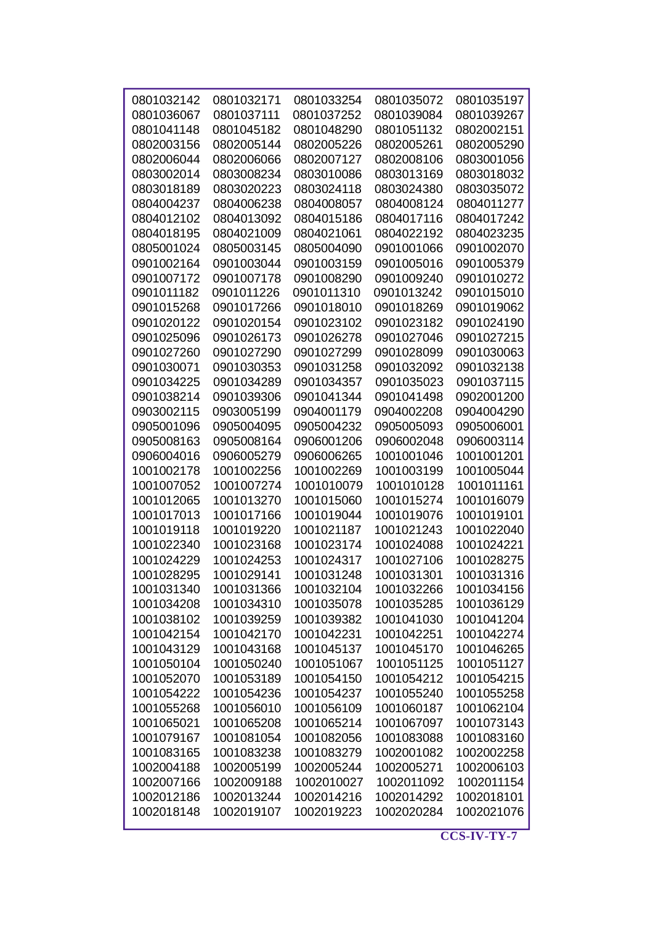| 0801032142 | 0801032171 | 0801033254 | 0801035072 | 0801035197 |
|------------|------------|------------|------------|------------|
| 0801036067 | 0801037111 | 0801037252 | 0801039084 | 0801039267 |
| 0801041148 | 0801045182 | 0801048290 | 0801051132 | 0802002151 |
| 0802003156 | 0802005144 | 0802005226 | 0802005261 | 0802005290 |
| 0802006044 | 0802006066 | 0802007127 | 0802008106 | 0803001056 |
| 0803002014 | 0803008234 | 0803010086 | 0803013169 | 0803018032 |
| 0803018189 | 0803020223 | 0803024118 | 0803024380 | 0803035072 |
| 0804004237 | 0804006238 | 0804008057 | 0804008124 | 0804011277 |
| 0804012102 | 0804013092 | 0804015186 | 0804017116 | 0804017242 |
| 0804018195 | 0804021009 | 0804021061 | 0804022192 | 0804023235 |
| 0805001024 | 0805003145 | 0805004090 | 0901001066 | 0901002070 |
| 0901002164 | 0901003044 | 0901003159 | 0901005016 | 0901005379 |
| 0901007172 | 0901007178 | 0901008290 | 0901009240 | 0901010272 |
| 0901011182 | 0901011226 | 0901011310 | 0901013242 | 0901015010 |
| 0901015268 | 0901017266 | 0901018010 | 0901018269 | 0901019062 |
| 0901020122 | 0901020154 | 0901023102 | 0901023182 | 0901024190 |
| 0901025096 | 0901026173 | 0901026278 | 0901027046 | 0901027215 |
| 0901027260 | 0901027290 | 0901027299 | 0901028099 | 0901030063 |
| 0901030071 | 0901030353 | 0901031258 | 0901032092 | 0901032138 |
| 0901034225 | 0901034289 | 0901034357 | 0901035023 | 0901037115 |
| 0901038214 | 0901039306 | 0901041344 | 0901041498 | 0902001200 |
| 0903002115 | 0903005199 | 0904001179 | 0904002208 | 0904004290 |
| 0905001096 | 0905004095 | 0905004232 | 0905005093 | 0905006001 |
|            |            | 0906001206 |            |            |
| 0905008163 | 0905008164 |            | 0906002048 | 0906003114 |
| 0906004016 | 0906005279 | 0906006265 | 1001001046 | 1001001201 |
| 1001002178 | 1001002256 | 1001002269 | 1001003199 | 1001005044 |
| 1001007052 | 1001007274 | 1001010079 | 1001010128 | 1001011161 |
| 1001012065 | 1001013270 | 1001015060 | 1001015274 | 1001016079 |
| 1001017013 | 1001017166 | 1001019044 | 1001019076 | 1001019101 |
| 1001019118 | 1001019220 | 1001021187 | 1001021243 | 1001022040 |
| 1001022340 | 1001023168 | 1001023174 | 1001024088 | 1001024221 |
| 1001024229 | 1001024253 | 1001024317 | 1001027106 | 1001028275 |
| 1001028295 | 1001029141 | 1001031248 | 1001031301 | 1001031316 |
| 1001031340 | 1001031366 | 1001032104 | 1001032266 | 1001034156 |
| 1001034208 | 1001034310 | 1001035078 | 1001035285 | 1001036129 |
| 1001038102 | 1001039259 | 1001039382 | 1001041030 | 1001041204 |
| 1001042154 | 1001042170 | 1001042231 | 1001042251 | 1001042274 |
| 1001043129 | 1001043168 | 1001045137 | 1001045170 | 1001046265 |
| 1001050104 | 1001050240 | 1001051067 | 1001051125 | 1001051127 |
| 1001052070 | 1001053189 | 1001054150 | 1001054212 | 1001054215 |
| 1001054222 | 1001054236 | 1001054237 | 1001055240 | 1001055258 |
| 1001055268 | 1001056010 | 1001056109 | 1001060187 | 1001062104 |
| 1001065021 | 1001065208 | 1001065214 | 1001067097 | 1001073143 |
| 1001079167 | 1001081054 | 1001082056 | 1001083088 | 1001083160 |
| 1001083165 | 1001083238 | 1001083279 | 1002001082 | 1002002258 |
| 1002004188 | 1002005199 | 1002005244 | 1002005271 | 1002006103 |
| 1002007166 | 1002009188 | 1002010027 | 1002011092 | 1002011154 |
| 1002012186 | 1002013244 | 1002014216 | 1002014292 | 1002018101 |
| 1002018148 | 1002019107 | 1002019223 | 1002020284 | 1002021076 |
|            |            |            |            |            |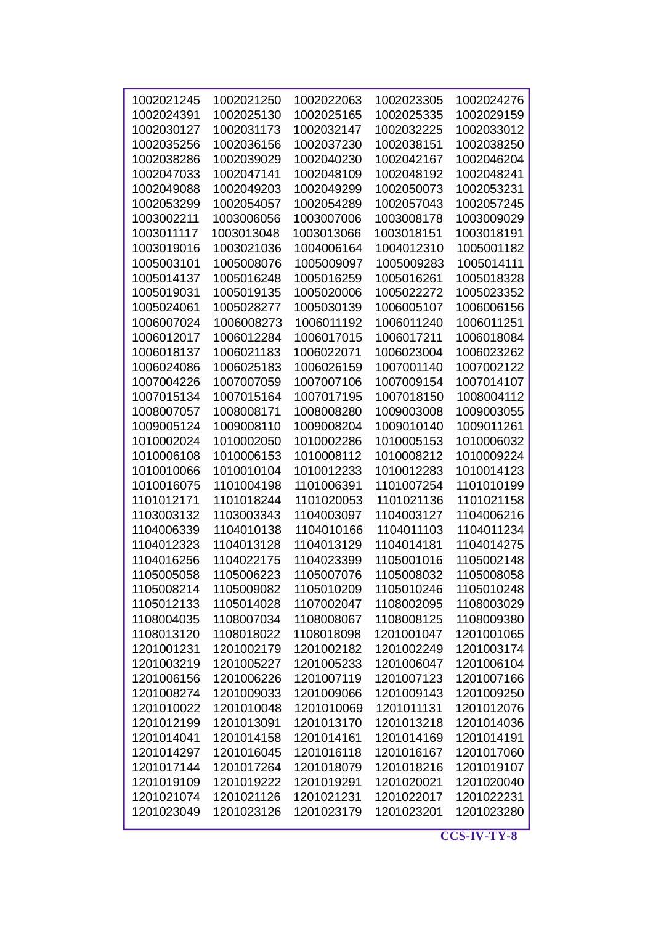| 1002021245 |            | 1002022063 |            |            |
|------------|------------|------------|------------|------------|
|            | 1002021250 |            | 1002023305 | 1002024276 |
| 1002024391 | 1002025130 | 1002025165 | 1002025335 | 1002029159 |
| 1002030127 | 1002031173 | 1002032147 | 1002032225 | 1002033012 |
| 1002035256 | 1002036156 | 1002037230 | 1002038151 | 1002038250 |
| 1002038286 | 1002039029 | 1002040230 | 1002042167 | 1002046204 |
| 1002047033 | 1002047141 | 1002048109 | 1002048192 | 1002048241 |
| 1002049088 | 1002049203 | 1002049299 | 1002050073 | 1002053231 |
| 1002053299 | 1002054057 | 1002054289 | 1002057043 | 1002057245 |
| 1003002211 | 1003006056 | 1003007006 | 1003008178 | 1003009029 |
| 1003011117 | 1003013048 | 1003013066 | 1003018151 | 1003018191 |
| 1003019016 | 1003021036 | 1004006164 | 1004012310 | 1005001182 |
| 1005003101 | 1005008076 | 1005009097 | 1005009283 | 1005014111 |
| 1005014137 | 1005016248 | 1005016259 | 1005016261 | 1005018328 |
| 1005019031 | 1005019135 | 1005020006 | 1005022272 | 1005023352 |
| 1005024061 | 1005028277 | 1005030139 | 1006005107 | 1006006156 |
| 1006007024 | 1006008273 | 1006011192 | 1006011240 | 1006011251 |
| 1006012017 | 1006012284 | 1006017015 | 1006017211 | 1006018084 |
| 1006018137 | 1006021183 | 1006022071 | 1006023004 | 1006023262 |
| 1006024086 | 1006025183 | 1006026159 | 1007001140 | 1007002122 |
| 1007004226 | 1007007059 | 1007007106 | 1007009154 | 1007014107 |
| 1007015134 | 1007015164 | 1007017195 | 1007018150 | 1008004112 |
| 1008007057 | 1008008171 | 1008008280 | 1009003008 | 1009003055 |
| 1009005124 | 1009008110 | 1009008204 | 1009010140 | 1009011261 |
|            |            |            |            |            |
| 1010002024 | 1010002050 | 1010002286 | 1010005153 | 1010006032 |
| 1010006108 | 1010006153 | 1010008112 | 1010008212 | 1010009224 |
| 1010010066 | 1010010104 | 1010012233 | 1010012283 | 1010014123 |
| 1010016075 | 1101004198 | 1101006391 | 1101007254 | 1101010199 |
| 1101012171 | 1101018244 | 1101020053 | 1101021136 | 1101021158 |
| 1103003132 | 1103003343 | 1104003097 | 1104003127 | 1104006216 |
| 1104006339 | 1104010138 | 1104010166 | 1104011103 | 1104011234 |
| 1104012323 | 1104013128 | 1104013129 | 1104014181 | 1104014275 |
| 1104016256 | 1104022175 | 1104023399 | 1105001016 | 1105002148 |
| 1105005058 | 1105006223 | 1105007076 | 1105008032 | 1105008058 |
| 1105008214 | 1105009082 | 1105010209 | 1105010246 | 1105010248 |
| 1105012133 | 1105014028 | 1107002047 | 1108002095 | 1108003029 |
| 1108004035 | 1108007034 | 1108008067 | 1108008125 | 1108009380 |
| 1108013120 | 1108018022 | 1108018098 | 1201001047 | 1201001065 |
| 1201001231 | 1201002179 | 1201002182 | 1201002249 | 1201003174 |
| 1201003219 | 1201005227 | 1201005233 | 1201006047 | 1201006104 |
| 1201006156 | 1201006226 | 1201007119 | 1201007123 | 1201007166 |
| 1201008274 | 1201009033 | 1201009066 | 1201009143 | 1201009250 |
| 1201010022 | 1201010048 | 1201010069 | 1201011131 | 1201012076 |
| 1201012199 | 1201013091 | 1201013170 | 1201013218 | 1201014036 |
| 1201014041 | 1201014158 | 1201014161 | 1201014169 | 1201014191 |
| 1201014297 | 1201016045 | 1201016118 | 1201016167 | 1201017060 |
| 1201017144 | 1201017264 | 1201018079 | 1201018216 | 1201019107 |
| 1201019109 | 1201019222 | 1201019291 | 1201020021 | 1201020040 |
| 1201021074 | 1201021126 | 1201021231 | 1201022017 | 1201022231 |
| 1201023049 | 1201023126 | 1201023179 | 1201023201 | 1201023280 |
|            |            |            |            |            |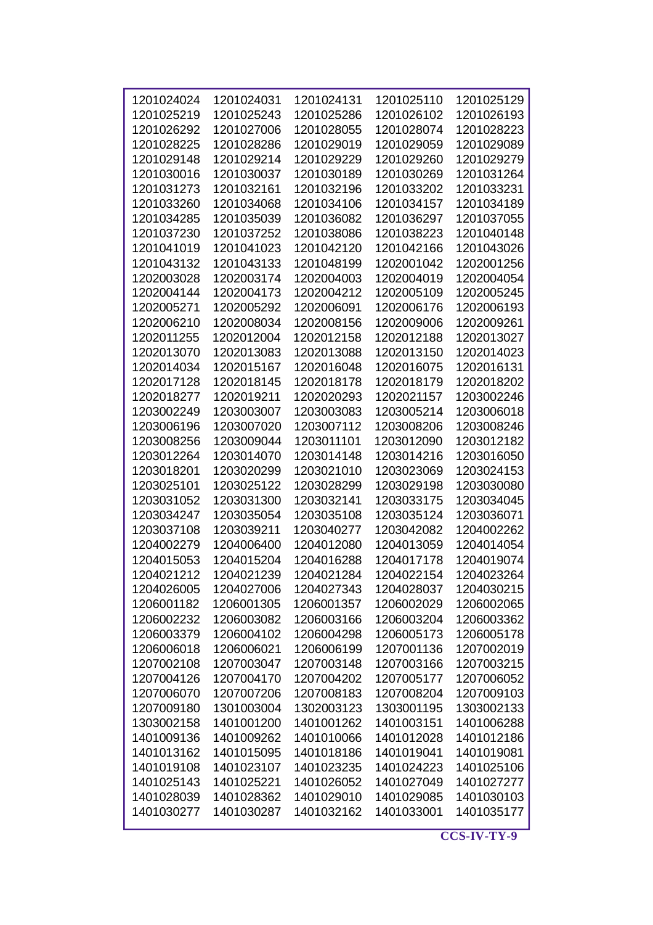| 1201024024 | 1201024031 | 1201024131 | 1201025110 | 1201025129 |
|------------|------------|------------|------------|------------|
| 1201025219 | 1201025243 | 1201025286 | 1201026102 | 1201026193 |
| 1201026292 | 1201027006 | 1201028055 | 1201028074 | 1201028223 |
| 1201028225 | 1201028286 | 1201029019 | 1201029059 | 1201029089 |
| 1201029148 | 1201029214 | 1201029229 | 1201029260 | 1201029279 |
| 1201030016 | 1201030037 | 1201030189 | 1201030269 | 1201031264 |
| 1201031273 | 1201032161 | 1201032196 | 1201033202 | 1201033231 |
| 1201033260 | 1201034068 | 1201034106 | 1201034157 | 1201034189 |
| 1201034285 | 1201035039 | 1201036082 | 1201036297 | 1201037055 |
| 1201037230 | 1201037252 | 1201038086 | 1201038223 | 1201040148 |
| 1201041019 | 1201041023 | 1201042120 | 1201042166 | 1201043026 |
| 1201043132 | 1201043133 | 1201048199 | 1202001042 | 1202001256 |
| 1202003028 | 1202003174 | 1202004003 | 1202004019 | 1202004054 |
| 1202004144 | 1202004173 | 1202004212 | 1202005109 | 1202005245 |
| 1202005271 | 1202005292 | 1202006091 | 1202006176 | 1202006193 |
| 1202006210 | 1202008034 | 1202008156 | 1202009006 | 1202009261 |
| 1202011255 | 1202012004 | 1202012158 | 1202012188 | 1202013027 |
| 1202013070 | 1202013083 | 1202013088 | 1202013150 | 1202014023 |
| 1202014034 | 1202015167 | 1202016048 | 1202016075 | 1202016131 |
| 1202017128 | 1202018145 | 1202018178 | 1202018179 | 1202018202 |
| 1202018277 | 1202019211 | 1202020293 | 1202021157 | 1203002246 |
| 1203002249 | 1203003007 | 1203003083 | 1203005214 | 1203006018 |
| 1203006196 | 1203007020 | 1203007112 | 1203008206 | 1203008246 |
| 1203008256 | 1203009044 | 1203011101 | 1203012090 | 1203012182 |
| 1203012264 | 1203014070 | 1203014148 | 1203014216 | 1203016050 |
| 1203018201 | 1203020299 | 1203021010 | 1203023069 | 1203024153 |
| 1203025101 | 1203025122 | 1203028299 | 1203029198 | 1203030080 |
| 1203031052 | 1203031300 | 1203032141 | 1203033175 | 1203034045 |
| 1203034247 | 1203035054 | 1203035108 | 1203035124 | 1203036071 |
| 1203037108 | 1203039211 | 1203040277 | 1203042082 | 1204002262 |
| 1204002279 | 1204006400 | 1204012080 | 1204013059 | 1204014054 |
| 1204015053 | 1204015204 | 1204016288 | 1204017178 | 1204019074 |
| 1204021212 | 1204021239 | 1204021284 | 1204022154 | 1204023264 |
| 1204026005 | 1204027006 | 1204027343 | 1204028037 | 1204030215 |
| 1206001182 | 1206001305 | 1206001357 | 1206002029 | 1206002065 |
| 1206002232 | 1206003082 | 1206003166 | 1206003204 | 1206003362 |
| 1206003379 | 1206004102 | 1206004298 | 1206005173 | 1206005178 |
| 1206006018 | 1206006021 | 1206006199 | 1207001136 | 1207002019 |
| 1207002108 | 1207003047 | 1207003148 | 1207003166 | 1207003215 |
| 1207004126 | 1207004170 | 1207004202 | 1207005177 | 1207006052 |
| 1207006070 | 1207007206 | 1207008183 | 1207008204 | 1207009103 |
| 1207009180 | 1301003004 | 1302003123 | 1303001195 | 1303002133 |
| 1303002158 | 1401001200 | 1401001262 | 1401003151 | 1401006288 |
| 1401009136 | 1401009262 | 1401010066 | 1401012028 | 1401012186 |
| 1401013162 | 1401015095 | 1401018186 | 1401019041 | 1401019081 |
| 1401019108 | 1401023107 | 1401023235 | 1401024223 | 1401025106 |
| 1401025143 | 1401025221 | 1401026052 | 1401027049 | 1401027277 |
| 1401028039 | 1401028362 | 1401029010 | 1401029085 | 1401030103 |
| 1401030277 | 1401030287 | 1401032162 | 1401033001 | 1401035177 |
|            |            |            |            |            |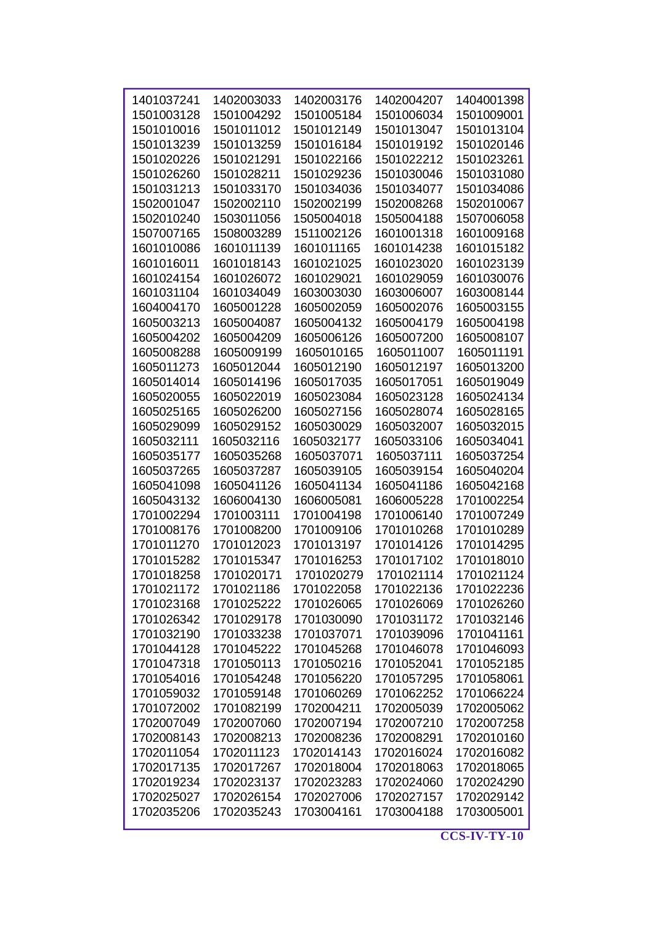| 1401037241 | 1402003033 | 1402003176 | 1402004207 | 1404001398 |
|------------|------------|------------|------------|------------|
| 1501003128 | 1501004292 | 1501005184 | 1501006034 | 1501009001 |
| 1501010016 | 1501011012 | 1501012149 | 1501013047 | 1501013104 |
| 1501013239 | 1501013259 | 1501016184 | 1501019192 | 1501020146 |
| 1501020226 | 1501021291 | 1501022166 | 1501022212 | 1501023261 |
| 1501026260 | 1501028211 | 1501029236 | 1501030046 | 1501031080 |
| 1501031213 | 1501033170 | 1501034036 | 1501034077 | 1501034086 |
| 1502001047 | 1502002110 | 1502002199 | 1502008268 | 1502010067 |
| 1502010240 | 1503011056 | 1505004018 | 1505004188 | 1507006058 |
|            |            |            |            |            |
| 1507007165 | 1508003289 | 1511002126 | 1601001318 | 1601009168 |
| 1601010086 | 1601011139 | 1601011165 | 1601014238 | 1601015182 |
| 1601016011 | 1601018143 | 1601021025 | 1601023020 | 1601023139 |
| 1601024154 | 1601026072 | 1601029021 | 1601029059 | 1601030076 |
| 1601031104 | 1601034049 | 1603003030 | 1603006007 | 1603008144 |
| 1604004170 | 1605001228 | 1605002059 | 1605002076 | 1605003155 |
| 1605003213 | 1605004087 | 1605004132 | 1605004179 | 1605004198 |
| 1605004202 | 1605004209 | 1605006126 | 1605007200 | 1605008107 |
| 1605008288 | 1605009199 | 1605010165 | 1605011007 | 1605011191 |
| 1605011273 | 1605012044 | 1605012190 | 1605012197 | 1605013200 |
| 1605014014 | 1605014196 | 1605017035 | 1605017051 | 1605019049 |
| 1605020055 | 1605022019 | 1605023084 | 1605023128 | 1605024134 |
| 1605025165 | 1605026200 | 1605027156 | 1605028074 | 1605028165 |
| 1605029099 | 1605029152 | 1605030029 | 1605032007 | 1605032015 |
| 1605032111 |            |            |            | 1605034041 |
|            | 1605032116 | 1605032177 | 1605033106 |            |
| 1605035177 | 1605035268 | 1605037071 | 1605037111 | 1605037254 |
| 1605037265 | 1605037287 | 1605039105 | 1605039154 | 1605040204 |
| 1605041098 | 1605041126 | 1605041134 | 1605041186 | 1605042168 |
| 1605043132 | 1606004130 | 1606005081 | 1606005228 | 1701002254 |
| 1701002294 | 1701003111 | 1701004198 | 1701006140 | 1701007249 |
| 1701008176 | 1701008200 | 1701009106 | 1701010268 | 1701010289 |
| 1701011270 | 1701012023 | 1701013197 | 1701014126 | 1701014295 |
| 1701015282 | 1701015347 | 1701016253 | 1701017102 | 1701018010 |
| 1701018258 | 1701020171 | 1701020279 | 1701021114 | 1701021124 |
| 1701021172 | 1701021186 | 1701022058 | 1701022136 | 1701022236 |
| 1701023168 | 1701025222 | 1701026065 | 1701026069 | 1701026260 |
| 1701026342 | 1701029178 | 1701030090 | 1701031172 | 1701032146 |
| 1701032190 | 1701033238 | 1701037071 | 1701039096 | 1701041161 |
| 1701044128 | 1701045222 | 1701045268 | 1701046078 | 1701046093 |
| 1701047318 | 1701050113 | 1701050216 | 1701052041 | 1701052185 |
| 1701054016 | 1701054248 | 1701056220 | 1701057295 | 1701058061 |
| 1701059032 | 1701059148 | 1701060269 | 1701062252 | 1701066224 |
| 1701072002 | 1701082199 | 1702004211 | 1702005039 | 1702005062 |
|            |            |            |            |            |
| 1702007049 | 1702007060 | 1702007194 | 1702007210 | 1702007258 |
| 1702008143 | 1702008213 | 1702008236 | 1702008291 | 1702010160 |
| 1702011054 | 1702011123 | 1702014143 | 1702016024 | 1702016082 |
| 1702017135 | 1702017267 | 1702018004 | 1702018063 | 1702018065 |
| 1702019234 | 1702023137 | 1702023283 | 1702024060 | 1702024290 |
| 1702025027 | 1702026154 | 1702027006 | 1702027157 | 1702029142 |
| 1702035206 | 1702035243 | 1703004161 | 1703004188 | 1703005001 |
|            |            |            |            |            |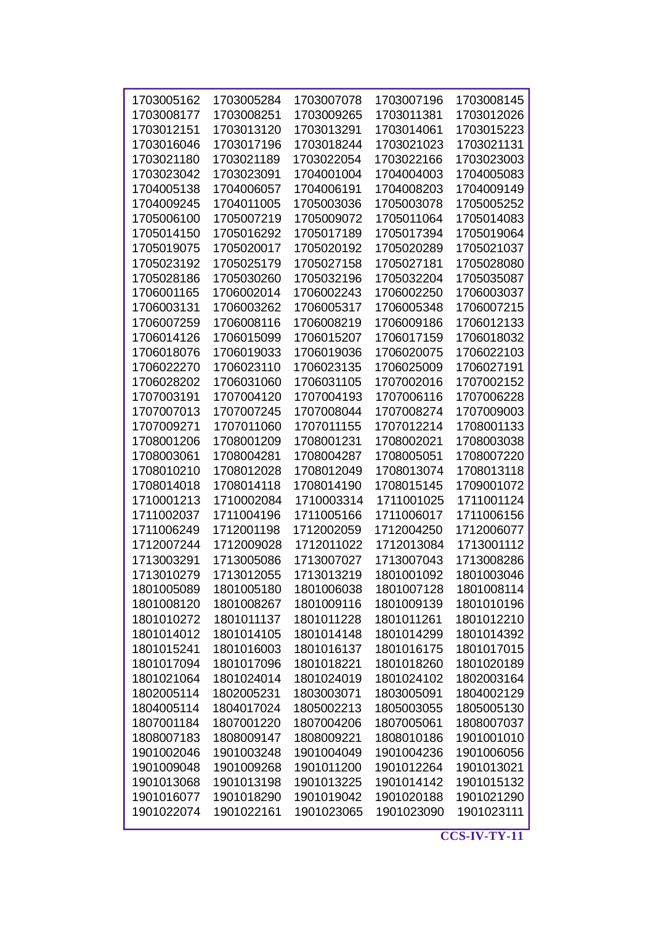|            |            |            | 1703007196 | 1703008145 |
|------------|------------|------------|------------|------------|
| 1703005162 | 1703005284 | 1703007078 |            |            |
| 1703008177 | 1703008251 | 1703009265 | 1703011381 | 1703012026 |
| 1703012151 | 1703013120 | 1703013291 | 1703014061 | 1703015223 |
| 1703016046 | 1703017196 | 1703018244 | 1703021023 | 1703021131 |
| 1703021180 | 1703021189 | 1703022054 | 1703022166 | 1703023003 |
| 1703023042 | 1703023091 | 1704001004 | 1704004003 | 1704005083 |
| 1704005138 | 1704006057 | 1704006191 | 1704008203 | 1704009149 |
| 1704009245 | 1704011005 | 1705003036 | 1705003078 | 1705005252 |
| 1705006100 | 1705007219 | 1705009072 | 1705011064 | 1705014083 |
| 1705014150 | 1705016292 | 1705017189 | 1705017394 | 1705019064 |
| 1705019075 | 1705020017 | 1705020192 | 1705020289 | 1705021037 |
| 1705023192 | 1705025179 | 1705027158 | 1705027181 | 1705028080 |
| 1705028186 | 1705030260 | 1705032196 | 1705032204 | 1705035087 |
| 1706001165 | 1706002014 | 1706002243 | 1706002250 | 1706003037 |
| 1706003131 | 1706003262 | 1706005317 | 1706005348 | 1706007215 |
| 1706007259 | 1706008116 | 1706008219 | 1706009186 | 1706012133 |
| 1706014126 | 1706015099 | 1706015207 | 1706017159 | 1706018032 |
| 1706018076 | 1706019033 | 1706019036 | 1706020075 | 1706022103 |
| 1706022270 | 1706023110 | 1706023135 | 1706025009 | 1706027191 |
| 1706028202 | 1706031060 | 1706031105 | 1707002016 | 1707002152 |
| 1707003191 | 1707004120 | 1707004193 | 1707006116 | 1707006228 |
| 1707007013 | 1707007245 | 1707008044 | 1707008274 | 1707009003 |
| 1707009271 | 1707011060 | 1707011155 | 1707012214 | 1708001133 |
| 1708001206 | 1708001209 | 1708001231 | 1708002021 | 1708003038 |
| 1708003061 | 1708004281 | 1708004287 | 1708005051 | 1708007220 |
| 1708010210 | 1708012028 | 1708012049 | 1708013074 | 1708013118 |
| 1708014018 | 1708014118 | 1708014190 | 1708015145 | 1709001072 |
| 1710001213 | 1710002084 | 1710003314 | 1711001025 | 1711001124 |
| 1711002037 | 1711004196 | 1711005166 | 1711006017 | 1711006156 |
| 1711006249 | 1712001198 | 1712002059 | 1712004250 | 1712006077 |
| 1712007244 | 1712009028 | 1712011022 | 1712013084 | 1713001112 |
| 1713003291 | 1713005086 | 1713007027 | 1713007043 | 1713008286 |
|            | 1713012055 | 1713013219 | 1801001092 | 1801003046 |
| 1713010279 |            |            |            |            |
| 1801005089 | 1801005180 | 1801006038 | 1801007128 | 1801008114 |
| 1801008120 | 1801008267 | 1801009116 | 1801009139 | 1801010196 |
| 1801010272 | 1801011137 | 1801011228 | 1801011261 | 1801012210 |
| 1801014012 | 1801014105 | 1801014148 | 1801014299 | 1801014392 |
| 1801015241 | 1801016003 | 1801016137 | 1801016175 | 1801017015 |
| 1801017094 | 1801017096 | 1801018221 | 1801018260 | 1801020189 |
| 1801021064 | 1801024014 | 1801024019 | 1801024102 | 1802003164 |
| 1802005114 | 1802005231 | 1803003071 | 1803005091 | 1804002129 |
| 1804005114 | 1804017024 | 1805002213 | 1805003055 | 1805005130 |
| 1807001184 | 1807001220 | 1807004206 | 1807005061 | 1808007037 |
| 1808007183 | 1808009147 | 1808009221 | 1808010186 | 1901001010 |
| 1901002046 | 1901003248 | 1901004049 | 1901004236 | 1901006056 |
| 1901009048 | 1901009268 | 1901011200 | 1901012264 | 1901013021 |
| 1901013068 | 1901013198 | 1901013225 | 1901014142 | 1901015132 |
| 1901016077 | 1901018290 | 1901019042 | 1901020188 | 1901021290 |
| 1901022074 | 1901022161 | 1901023065 | 1901023090 | 1901023111 |
|            |            |            |            |            |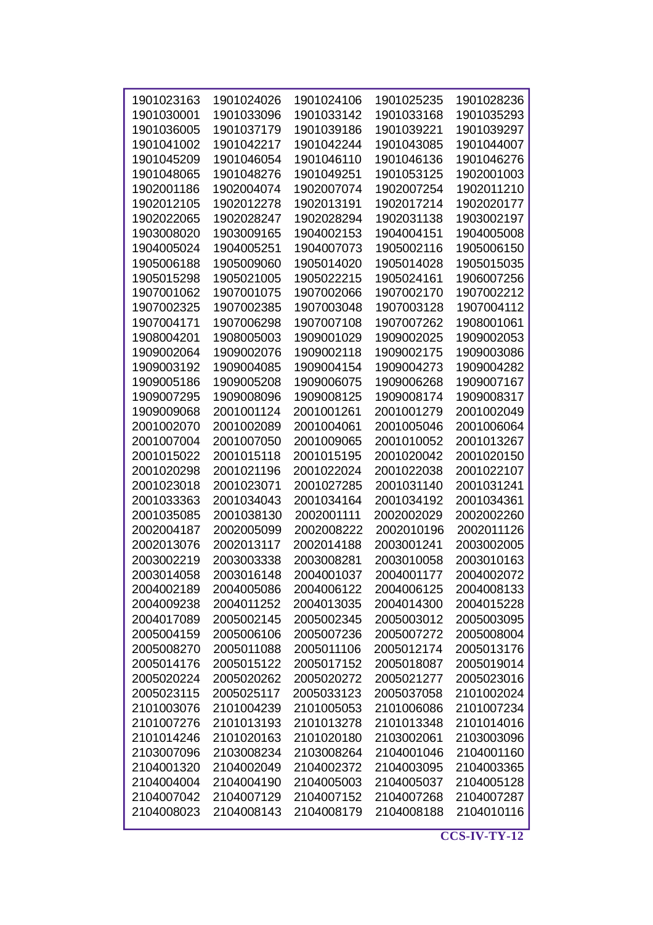| 1901023163 | 1901024026 | 1901024106 | 1901025235 | 1901028236 |
|------------|------------|------------|------------|------------|
| 1901030001 | 1901033096 | 1901033142 | 1901033168 | 1901035293 |
| 1901036005 | 1901037179 | 1901039186 | 1901039221 | 1901039297 |
| 1901041002 | 1901042217 | 1901042244 | 1901043085 | 1901044007 |
| 1901045209 | 1901046054 | 1901046110 | 1901046136 | 1901046276 |
| 1901048065 | 1901048276 | 1901049251 | 1901053125 | 1902001003 |
| 1902001186 | 1902004074 | 1902007074 | 1902007254 | 1902011210 |
| 1902012105 | 1902012278 | 1902013191 | 1902017214 | 1902020177 |
| 1902022065 | 1902028247 | 1902028294 | 1902031138 | 1903002197 |
| 1903008020 | 1903009165 | 1904002153 | 1904004151 | 1904005008 |
| 1904005024 | 1904005251 | 1904007073 | 1905002116 | 1905006150 |
| 1905006188 | 1905009060 | 1905014020 | 1905014028 | 1905015035 |
| 1905015298 | 1905021005 | 1905022215 | 1905024161 | 1906007256 |
| 1907001062 | 1907001075 | 1907002066 | 1907002170 | 1907002212 |
| 1907002325 | 1907002385 | 1907003048 | 1907003128 | 1907004112 |
| 1907004171 | 1907006298 | 1907007108 | 1907007262 | 1908001061 |
| 1908004201 | 1908005003 | 1909001029 | 1909002025 | 1909002053 |
| 1909002064 | 1909002076 | 1909002118 | 1909002175 | 1909003086 |
| 1909003192 | 1909004085 |            |            |            |
|            |            | 1909004154 | 1909004273 | 1909004282 |
| 1909005186 | 1909005208 | 1909006075 | 1909006268 | 1909007167 |
| 1909007295 | 1909008096 | 1909008125 | 1909008174 | 1909008317 |
| 1909009068 | 2001001124 | 2001001261 | 2001001279 | 2001002049 |
| 2001002070 | 2001002089 | 2001004061 | 2001005046 | 2001006064 |
| 2001007004 | 2001007050 | 2001009065 | 2001010052 | 2001013267 |
| 2001015022 | 2001015118 | 2001015195 | 2001020042 | 2001020150 |
| 2001020298 | 2001021196 | 2001022024 | 2001022038 | 2001022107 |
| 2001023018 | 2001023071 | 2001027285 | 2001031140 | 2001031241 |
| 2001033363 | 2001034043 | 2001034164 | 2001034192 | 2001034361 |
| 2001035085 | 2001038130 | 2002001111 | 2002002029 | 2002002260 |
| 2002004187 | 2002005099 | 2002008222 | 2002010196 | 2002011126 |
| 2002013076 | 2002013117 | 2002014188 | 2003001241 | 2003002005 |
| 2003002219 | 2003003338 | 2003008281 | 2003010058 | 2003010163 |
| 2003014058 | 2003016148 | 2004001037 | 2004001177 | 2004002072 |
| 2004002189 | 2004005086 | 2004006122 | 2004006125 | 2004008133 |
| 2004009238 | 2004011252 | 2004013035 | 2004014300 | 2004015228 |
| 2004017089 | 2005002145 | 2005002345 | 2005003012 | 2005003095 |
| 2005004159 | 2005006106 | 2005007236 | 2005007272 | 2005008004 |
| 2005008270 | 2005011088 | 2005011106 | 2005012174 | 2005013176 |
| 2005014176 | 2005015122 | 2005017152 | 2005018087 | 2005019014 |
| 2005020224 | 2005020262 | 2005020272 | 2005021277 | 2005023016 |
| 2005023115 | 2005025117 | 2005033123 | 2005037058 | 2101002024 |
| 2101003076 | 2101004239 | 2101005053 | 2101006086 | 2101007234 |
| 2101007276 | 2101013193 | 2101013278 | 2101013348 | 2101014016 |
| 2101014246 | 2101020163 | 2101020180 | 2103002061 | 2103003096 |
| 2103007096 | 2103008234 | 2103008264 | 2104001046 | 2104001160 |
| 2104001320 | 2104002049 | 2104002372 | 2104003095 | 2104003365 |
| 2104004004 | 2104004190 | 2104005003 | 2104005037 | 2104005128 |
| 2104007042 | 2104007129 | 2104007152 | 2104007268 | 2104007287 |
| 2104008023 | 2104008143 | 2104008179 | 2104008188 | 2104010116 |
|            |            |            |            |            |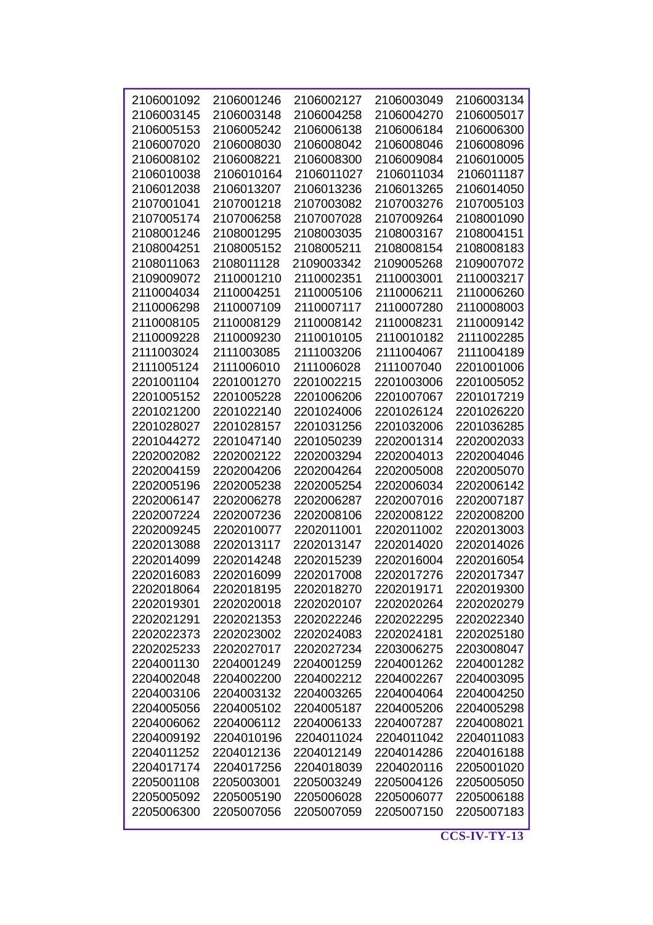| 2106001092 | 2106001246 | 2106002127 | 2106003049 | 2106003134 |
|------------|------------|------------|------------|------------|
| 2106003145 | 2106003148 | 2106004258 | 2106004270 | 2106005017 |
| 2106005153 | 2106005242 | 2106006138 | 2106006184 | 2106006300 |
| 2106007020 | 2106008030 | 2106008042 | 2106008046 | 2106008096 |
| 2106008102 | 2106008221 | 2106008300 | 2106009084 | 2106010005 |
| 2106010038 | 2106010164 | 2106011027 | 2106011034 | 2106011187 |
| 2106012038 | 2106013207 | 2106013236 | 2106013265 | 2106014050 |
| 2107001041 | 2107001218 | 2107003082 | 2107003276 | 2107005103 |
| 2107005174 | 2107006258 | 2107007028 | 2107009264 | 2108001090 |
| 2108001246 | 2108001295 | 2108003035 | 2108003167 | 2108004151 |
| 2108004251 | 2108005152 | 2108005211 | 2108008154 | 2108008183 |
| 2108011063 | 2108011128 | 2109003342 | 2109005268 | 2109007072 |
| 2109009072 | 2110001210 | 2110002351 | 2110003001 | 2110003217 |
|            |            |            |            |            |
| 2110004034 | 2110004251 | 2110005106 | 2110006211 | 2110006260 |
| 2110006298 | 2110007109 | 2110007117 | 2110007280 | 2110008003 |
| 2110008105 | 2110008129 | 2110008142 | 2110008231 | 2110009142 |
| 2110009228 | 2110009230 | 2110010105 | 2110010182 | 2111002285 |
| 2111003024 | 2111003085 | 2111003206 | 2111004067 | 2111004189 |
| 2111005124 | 2111006010 | 2111006028 | 2111007040 | 2201001006 |
| 2201001104 | 2201001270 | 2201002215 | 2201003006 | 2201005052 |
| 2201005152 | 2201005228 | 2201006206 | 2201007067 | 2201017219 |
| 2201021200 | 2201022140 | 2201024006 | 2201026124 | 2201026220 |
| 2201028027 | 2201028157 | 2201031256 | 2201032006 | 2201036285 |
| 2201044272 | 2201047140 | 2201050239 | 2202001314 | 2202002033 |
| 2202002082 | 2202002122 | 2202003294 | 2202004013 | 2202004046 |
| 2202004159 | 2202004206 | 2202004264 | 2202005008 | 2202005070 |
| 2202005196 | 2202005238 | 2202005254 | 2202006034 | 2202006142 |
| 2202006147 | 2202006278 | 2202006287 | 2202007016 | 2202007187 |
| 2202007224 | 2202007236 | 2202008106 | 2202008122 | 2202008200 |
| 2202009245 | 2202010077 | 2202011001 | 2202011002 | 2202013003 |
| 2202013088 | 2202013117 | 2202013147 | 2202014020 | 2202014026 |
| 2202014099 | 2202014248 | 2202015239 | 2202016004 | 2202016054 |
| 2202016083 | 2202016099 | 2202017008 | 2202017276 | 2202017347 |
|            |            |            |            |            |
| 2202018064 | 2202018195 | 2202018270 | 2202019171 | 2202019300 |
| 2202019301 | 2202020018 | 2202020107 | 2202020264 | 2202020279 |
| 2202021291 | 2202021353 | 2202022246 | 2202022295 | 2202022340 |
| 2202022373 | 2202023002 | 2202024083 | 2202024181 | 2202025180 |
| 2202025233 | 2202027017 | 2202027234 | 2203006275 | 2203008047 |
| 2204001130 | 2204001249 | 2204001259 | 2204001262 | 2204001282 |
| 2204002048 | 2204002200 | 2204002212 | 2204002267 | 2204003095 |
| 2204003106 | 2204003132 | 2204003265 | 2204004064 | 2204004250 |
| 2204005056 | 2204005102 | 2204005187 | 2204005206 | 2204005298 |
| 2204006062 | 2204006112 | 2204006133 | 2204007287 | 2204008021 |
| 2204009192 | 2204010196 | 2204011024 | 2204011042 | 2204011083 |
| 2204011252 | 2204012136 | 2204012149 | 2204014286 | 2204016188 |
| 2204017174 | 2204017256 | 2204018039 | 2204020116 | 2205001020 |
| 2205001108 | 2205003001 | 2205003249 | 2205004126 | 2205005050 |
| 2205005092 | 2205005190 | 2205006028 | 2205006077 | 2205006188 |
| 2205006300 | 2205007056 | 2205007059 | 2205007150 | 2205007183 |
|            |            |            |            |            |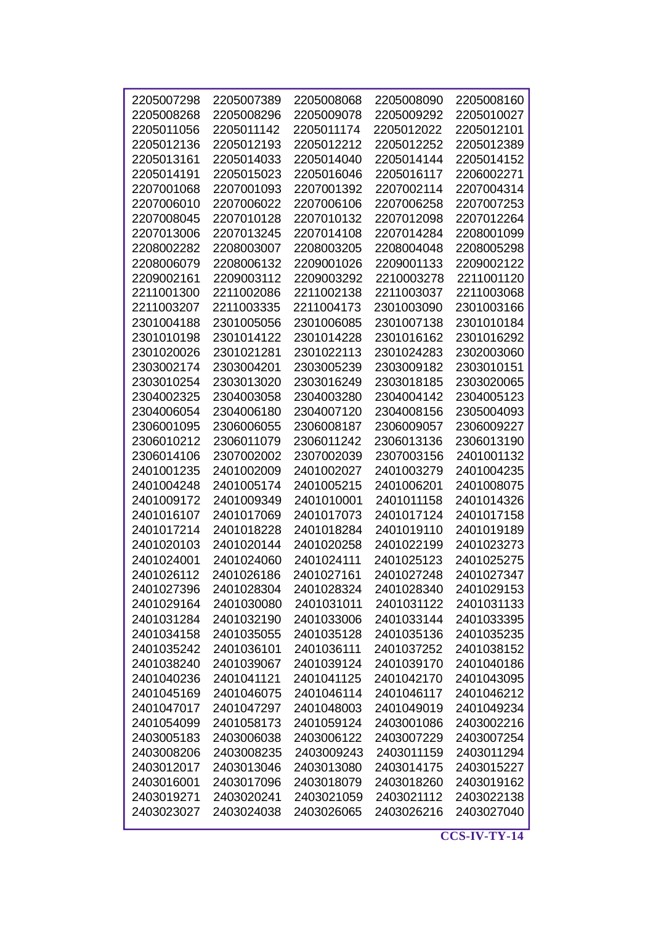| 2205007298 | 2205007389 | 2205008068 | 2205008090 | 2205008160 |
|------------|------------|------------|------------|------------|
| 2205008268 | 2205008296 | 2205009078 | 2205009292 | 2205010027 |
| 2205011056 | 2205011142 | 2205011174 | 2205012022 | 2205012101 |
| 2205012136 | 2205012193 | 2205012212 | 2205012252 | 2205012389 |
| 2205013161 | 2205014033 | 2205014040 | 2205014144 | 2205014152 |
| 2205014191 | 2205015023 | 2205016046 | 2205016117 | 2206002271 |
| 2207001068 | 2207001093 | 2207001392 | 2207002114 | 2207004314 |
| 2207006010 | 2207006022 | 2207006106 | 2207006258 | 2207007253 |
| 2207008045 | 2207010128 | 2207010132 | 2207012098 | 2207012264 |
| 2207013006 | 2207013245 | 2207014108 | 2207014284 | 2208001099 |
| 2208002282 | 2208003007 | 2208003205 | 2208004048 | 2208005298 |
| 2208006079 | 2208006132 | 2209001026 | 2209001133 | 2209002122 |
| 2209002161 | 2209003112 | 2209003292 | 2210003278 | 2211001120 |
| 2211001300 | 2211002086 | 2211002138 | 2211003037 | 2211003068 |
| 2211003207 | 2211003335 | 2211004173 | 2301003090 | 2301003166 |
| 2301004188 | 2301005056 | 2301006085 | 2301007138 | 2301010184 |
| 2301010198 | 2301014122 | 2301014228 | 2301016162 | 2301016292 |
| 2301020026 | 2301021281 | 2301022113 | 2301024283 | 2302003060 |
| 2303002174 | 2303004201 | 2303005239 | 2303009182 | 2303010151 |
| 2303010254 | 2303013020 | 2303016249 | 2303018185 | 2303020065 |
| 2304002325 | 2304003058 | 2304003280 | 2304004142 | 2304005123 |
| 2304006054 | 2304006180 | 2304007120 | 2304008156 | 2305004093 |
| 2306001095 | 2306006055 | 2306008187 | 2306009057 | 2306009227 |
| 2306010212 | 2306011079 | 2306011242 | 2306013136 | 2306013190 |
| 2306014106 | 2307002002 | 2307002039 | 2307003156 | 2401001132 |
| 2401001235 | 2401002009 | 2401002027 | 2401003279 | 2401004235 |
| 2401004248 | 2401005174 | 2401005215 | 2401006201 | 2401008075 |
| 2401009172 | 2401009349 | 2401010001 | 2401011158 | 2401014326 |
| 2401016107 | 2401017069 | 2401017073 | 2401017124 | 2401017158 |
| 2401017214 | 2401018228 | 2401018284 | 2401019110 | 2401019189 |
| 2401020103 | 2401020144 | 2401020258 | 2401022199 | 2401023273 |
| 2401024001 | 2401024060 | 2401024111 | 2401025123 | 2401025275 |
| 2401026112 | 2401026186 | 2401027161 | 2401027248 | 2401027347 |
| 2401027396 | 2401028304 | 2401028324 | 2401028340 | 2401029153 |
| 2401029164 | 2401030080 | 2401031011 | 2401031122 | 2401031133 |
| 2401031284 | 2401032190 | 2401033006 | 2401033144 | 2401033395 |
| 2401034158 | 2401035055 | 2401035128 | 2401035136 | 2401035235 |
| 2401035242 | 2401036101 | 2401036111 | 2401037252 | 2401038152 |
| 2401038240 | 2401039067 | 2401039124 | 2401039170 | 2401040186 |
| 2401040236 | 2401041121 | 2401041125 | 2401042170 | 2401043095 |
| 2401045169 | 2401046075 | 2401046114 | 2401046117 | 2401046212 |
| 2401047017 | 2401047297 | 2401048003 | 2401049019 | 2401049234 |
| 2401054099 | 2401058173 | 2401059124 | 2403001086 | 2403002216 |
| 2403005183 | 2403006038 | 2403006122 | 2403007229 | 2403007254 |
| 2403008206 | 2403008235 | 2403009243 | 2403011159 | 2403011294 |
| 2403012017 | 2403013046 | 2403013080 | 2403014175 | 2403015227 |
| 2403016001 | 2403017096 | 2403018079 | 2403018260 | 2403019162 |
| 2403019271 | 2403020241 | 2403021059 | 2403021112 | 2403022138 |
| 2403023027 | 2403024038 | 2403026065 | 2403026216 | 2403027040 |
|            |            |            |            |            |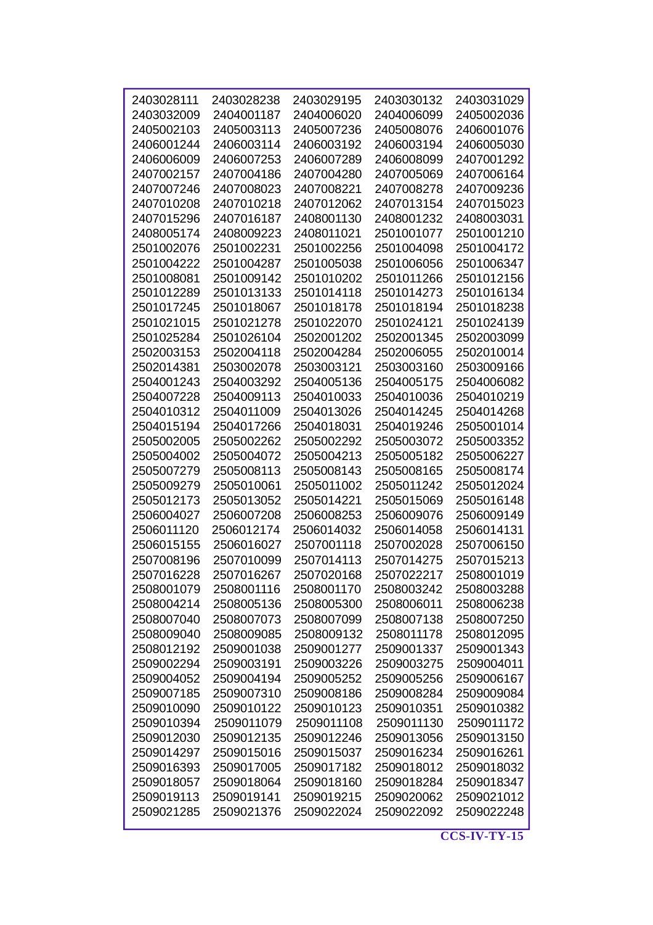| 2403028111 | 2403028238 | 2403029195 | 2403030132 | 2403031029 |
|------------|------------|------------|------------|------------|
| 2403032009 | 2404001187 | 2404006020 | 2404006099 | 2405002036 |
| 2405002103 | 2405003113 | 2405007236 | 2405008076 | 2406001076 |
| 2406001244 | 2406003114 | 2406003192 | 2406003194 | 2406005030 |
| 2406006009 | 2406007253 | 2406007289 | 2406008099 | 2407001292 |
| 2407002157 | 2407004186 | 2407004280 | 2407005069 | 2407006164 |
| 2407007246 | 2407008023 | 2407008221 | 2407008278 | 2407009236 |
| 2407010208 | 2407010218 | 2407012062 | 2407013154 | 2407015023 |
| 2407015296 | 2407016187 | 2408001130 | 2408001232 | 2408003031 |
| 2408005174 | 2408009223 | 2408011021 | 2501001077 | 2501001210 |
| 2501002076 | 2501002231 | 2501002256 | 2501004098 | 2501004172 |
| 2501004222 | 2501004287 | 2501005038 | 2501006056 | 2501006347 |
| 2501008081 | 2501009142 | 2501010202 | 2501011266 | 2501012156 |
| 2501012289 | 2501013133 | 2501014118 | 2501014273 | 2501016134 |
| 2501017245 | 2501018067 | 2501018178 | 2501018194 | 2501018238 |
| 2501021015 | 2501021278 | 2501022070 | 2501024121 | 2501024139 |
| 2501025284 | 2501026104 | 2502001202 | 2502001345 | 2502003099 |
| 2502003153 | 2502004118 | 2502004284 | 2502006055 | 2502010014 |
| 2502014381 | 2503002078 | 2503003121 | 2503003160 | 2503009166 |
| 2504001243 | 2504003292 | 2504005136 | 2504005175 | 2504006082 |
| 2504007228 | 2504009113 | 2504010033 | 2504010036 | 2504010219 |
| 2504010312 | 2504011009 | 2504013026 | 2504014245 | 2504014268 |
| 2504015194 | 2504017266 | 2504018031 | 2504019246 | 2505001014 |
| 2505002005 | 2505002262 | 2505002292 | 2505003072 | 2505003352 |
| 2505004002 | 2505004072 | 2505004213 | 2505005182 | 2505006227 |
| 2505007279 | 2505008113 | 2505008143 | 2505008165 | 2505008174 |
| 2505009279 | 2505010061 | 2505011002 | 2505011242 | 2505012024 |
| 2505012173 | 2505013052 | 2505014221 | 2505015069 | 2505016148 |
| 2506004027 | 2506007208 | 2506008253 | 2506009076 | 2506009149 |
| 2506011120 | 2506012174 | 2506014032 | 2506014058 | 2506014131 |
| 2506015155 | 2506016027 | 2507001118 | 2507002028 | 2507006150 |
| 2507008196 | 2507010099 | 2507014113 | 2507014275 | 2507015213 |
| 2507016228 | 2507016267 | 2507020168 | 2507022217 | 2508001019 |
| 2508001079 | 2508001116 | 2508001170 | 2508003242 | 2508003288 |
| 2508004214 | 2508005136 | 2508005300 | 2508006011 | 2508006238 |
| 2508007040 | 2508007073 | 2508007099 | 2508007138 | 2508007250 |
| 2508009040 | 2508009085 | 2508009132 | 2508011178 | 2508012095 |
| 2508012192 | 2509001038 | 2509001277 | 2509001337 | 2509001343 |
| 2509002294 | 2509003191 | 2509003226 | 2509003275 | 2509004011 |
| 2509004052 | 2509004194 | 2509005252 | 2509005256 | 2509006167 |
| 2509007185 | 2509007310 | 2509008186 | 2509008284 | 2509009084 |
| 2509010090 | 2509010122 | 2509010123 | 2509010351 | 2509010382 |
| 2509010394 | 2509011079 | 2509011108 | 2509011130 | 2509011172 |
| 2509012030 | 2509012135 | 2509012246 | 2509013056 | 2509013150 |
| 2509014297 | 2509015016 | 2509015037 | 2509016234 | 2509016261 |
| 2509016393 | 2509017005 | 2509017182 | 2509018012 | 2509018032 |
| 2509018057 | 2509018064 | 2509018160 | 2509018284 | 2509018347 |
| 2509019113 | 2509019141 | 2509019215 | 2509020062 | 2509021012 |
| 2509021285 | 2509021376 | 2509022024 | 2509022092 | 2509022248 |
|            |            |            |            |            |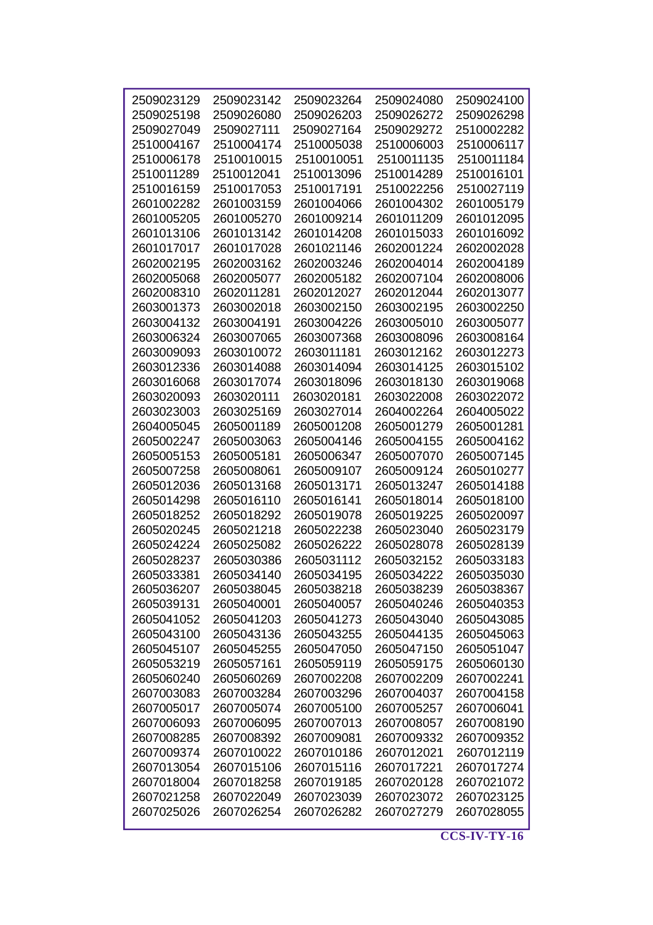| 2509023129 | 2509023142               | 2509023264 | 2509024080 | 2509024100 |
|------------|--------------------------|------------|------------|------------|
| 2509025198 | 2509026080               | 2509026203 | 2509026272 | 2509026298 |
| 2509027049 | 2509027111               | 2509027164 | 2509029272 | 2510002282 |
| 2510004167 | 2510004174               | 2510005038 | 2510006003 | 2510006117 |
| 2510006178 | 2510010015               | 2510010051 | 2510011135 | 2510011184 |
| 2510011289 | 2510012041               | 2510013096 | 2510014289 | 2510016101 |
| 2510016159 | 2510017053               | 2510017191 | 2510022256 | 2510027119 |
| 2601002282 | 2601003159               | 2601004066 | 2601004302 | 2601005179 |
| 2601005205 | 2601005270               | 2601009214 | 2601011209 | 2601012095 |
| 2601013106 | 2601013142               | 2601014208 | 2601015033 | 2601016092 |
| 2601017017 | 2601017028               | 2601021146 | 2602001224 | 2602002028 |
| 2602002195 | 2602003162               | 2602003246 | 2602004014 | 2602004189 |
| 2602005068 | 2602005077               | 2602005182 | 2602007104 | 2602008006 |
| 2602008310 | 2602011281               | 2602012027 | 2602012044 | 2602013077 |
| 2603001373 |                          |            |            |            |
| 2603004132 | 2603002018<br>2603004191 | 2603002150 | 2603002195 | 2603002250 |
|            |                          | 2603004226 | 2603005010 | 2603005077 |
| 2603006324 | 2603007065               | 2603007368 | 2603008096 | 2603008164 |
| 2603009093 | 2603010072               | 2603011181 | 2603012162 | 2603012273 |
| 2603012336 | 2603014088               | 2603014094 | 2603014125 | 2603015102 |
| 2603016068 | 2603017074               | 2603018096 | 2603018130 | 2603019068 |
| 2603020093 | 2603020111               | 2603020181 | 2603022008 | 2603022072 |
| 2603023003 | 2603025169               | 2603027014 | 2604002264 | 2604005022 |
| 2604005045 | 2605001189               | 2605001208 | 2605001279 | 2605001281 |
| 2605002247 | 2605003063               | 2605004146 | 2605004155 | 2605004162 |
| 2605005153 | 2605005181               | 2605006347 | 2605007070 | 2605007145 |
| 2605007258 | 2605008061               | 2605009107 | 2605009124 | 2605010277 |
| 2605012036 | 2605013168               | 2605013171 | 2605013247 | 2605014188 |
| 2605014298 | 2605016110               | 2605016141 | 2605018014 | 2605018100 |
| 2605018252 | 2605018292               | 2605019078 | 2605019225 | 2605020097 |
| 2605020245 | 2605021218               | 2605022238 | 2605023040 | 2605023179 |
| 2605024224 | 2605025082               | 2605026222 | 2605028078 | 2605028139 |
| 2605028237 | 2605030386               | 2605031112 | 2605032152 | 2605033183 |
| 2605033381 | 2605034140               | 2605034195 | 2605034222 | 2605035030 |
| 2605036207 | 2605038045               | 2605038218 | 2605038239 | 2605038367 |
| 2605039131 | 2605040001               | 2605040057 | 2605040246 | 2605040353 |
| 2605041052 | 2605041203               | 2605041273 | 2605043040 | 2605043085 |
| 2605043100 | 2605043136               | 2605043255 | 2605044135 | 2605045063 |
| 2605045107 | 2605045255               | 2605047050 | 2605047150 | 2605051047 |
| 2605053219 | 2605057161               | 2605059119 | 2605059175 | 2605060130 |
| 2605060240 | 2605060269               | 2607002208 | 2607002209 | 2607002241 |
| 2607003083 | 2607003284               | 2607003296 | 2607004037 | 2607004158 |
| 2607005017 | 2607005074               | 2607005100 | 2607005257 | 2607006041 |
| 2607006093 | 2607006095               | 2607007013 | 2607008057 | 2607008190 |
| 2607008285 | 2607008392               | 2607009081 | 2607009332 | 2607009352 |
| 2607009374 | 2607010022               | 2607010186 | 2607012021 | 2607012119 |
| 2607013054 | 2607015106               | 2607015116 | 2607017221 | 2607017274 |
| 2607018004 | 2607018258               | 2607019185 | 2607020128 | 2607021072 |
| 2607021258 | 2607022049               | 2607023039 | 2607023072 | 2607023125 |
| 2607025026 | 2607026254               | 2607026282 | 2607027279 | 2607028055 |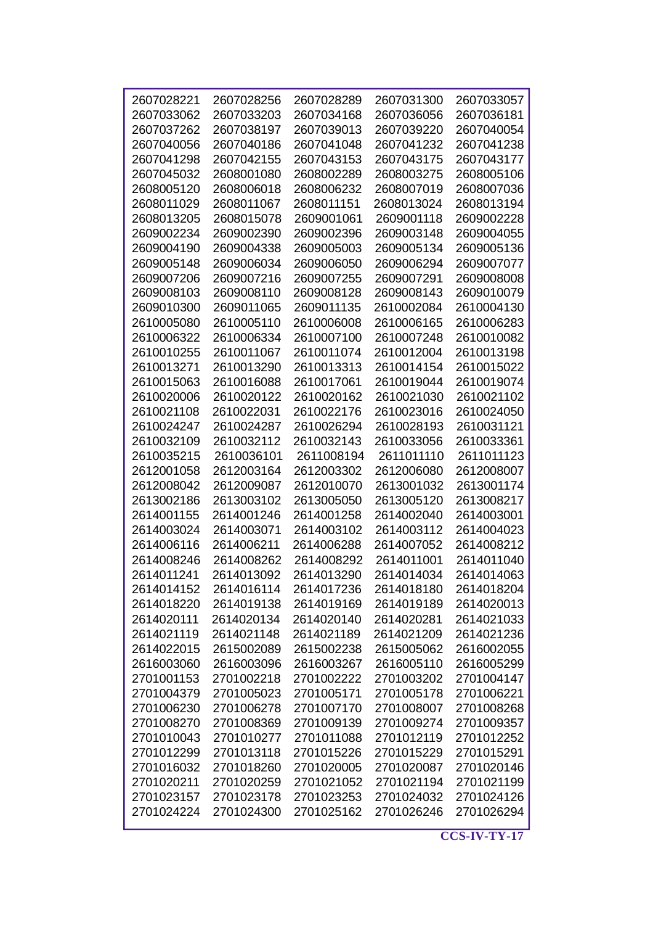| 2607028221 | 2607028256 | 2607028289 | 2607031300 | 2607033057 |
|------------|------------|------------|------------|------------|
| 2607033062 | 2607033203 | 2607034168 | 2607036056 | 2607036181 |
| 2607037262 | 2607038197 | 2607039013 | 2607039220 | 2607040054 |
| 2607040056 | 2607040186 | 2607041048 | 2607041232 | 2607041238 |
| 2607041298 | 2607042155 | 2607043153 | 2607043175 | 2607043177 |
| 2607045032 | 2608001080 | 2608002289 | 2608003275 | 2608005106 |
| 2608005120 | 2608006018 | 2608006232 | 2608007019 | 2608007036 |
| 2608011029 | 2608011067 | 2608011151 | 2608013024 | 2608013194 |
| 2608013205 | 2608015078 | 2609001061 | 2609001118 | 2609002228 |
| 2609002234 | 2609002390 | 2609002396 | 2609003148 | 2609004055 |
| 2609004190 | 2609004338 | 2609005003 | 2609005134 | 2609005136 |
| 2609005148 | 2609006034 | 2609006050 | 2609006294 | 2609007077 |
| 2609007206 | 2609007216 | 2609007255 | 2609007291 | 2609008008 |
| 2609008103 | 2609008110 | 2609008128 | 2609008143 | 2609010079 |
| 2609010300 | 2609011065 | 2609011135 | 2610002084 | 2610004130 |
| 2610005080 | 2610005110 | 2610006008 | 2610006165 | 2610006283 |
| 2610006322 | 2610006334 | 2610007100 | 2610007248 | 2610010082 |
| 2610010255 | 2610011067 | 2610011074 | 2610012004 | 2610013198 |
| 2610013271 | 2610013290 | 2610013313 | 2610014154 | 2610015022 |
| 2610015063 | 2610016088 | 2610017061 | 2610019044 | 2610019074 |
| 2610020006 | 2610020122 | 2610020162 | 2610021030 | 2610021102 |
| 2610021108 | 2610022031 | 2610022176 | 2610023016 | 2610024050 |
|            |            |            |            |            |
| 2610024247 | 2610024287 | 2610026294 | 2610028193 | 2610031121 |
| 2610032109 | 2610032112 | 2610032143 | 2610033056 | 2610033361 |
| 2610035215 | 2610036101 | 2611008194 | 2611011110 | 2611011123 |
| 2612001058 | 2612003164 | 2612003302 | 2612006080 | 2612008007 |
| 2612008042 | 2612009087 | 2612010070 | 2613001032 | 2613001174 |
| 2613002186 | 2613003102 | 2613005050 | 2613005120 | 2613008217 |
| 2614001155 | 2614001246 | 2614001258 | 2614002040 | 2614003001 |
| 2614003024 | 2614003071 | 2614003102 | 2614003112 | 2614004023 |
| 2614006116 | 2614006211 | 2614006288 | 2614007052 | 2614008212 |
| 2614008246 | 2614008262 | 2614008292 | 2614011001 | 2614011040 |
| 2614011241 | 2614013092 | 2614013290 | 2614014034 | 2614014063 |
| 2614014152 | 2614016114 | 2614017236 | 2614018180 | 2614018204 |
| 2614018220 | 2614019138 | 2614019169 | 2614019189 | 2614020013 |
| 2614020111 | 2614020134 | 2614020140 | 2614020281 | 2614021033 |
| 2614021119 | 2614021148 | 2614021189 | 2614021209 | 2614021236 |
| 2614022015 | 2615002089 | 2615002238 | 2615005062 | 2616002055 |
| 2616003060 | 2616003096 | 2616003267 | 2616005110 | 2616005299 |
| 2701001153 | 2701002218 | 2701002222 | 2701003202 | 2701004147 |
| 2701004379 | 2701005023 | 2701005171 | 2701005178 | 2701006221 |
| 2701006230 | 2701006278 | 2701007170 | 2701008007 | 2701008268 |
| 2701008270 | 2701008369 | 2701009139 | 2701009274 | 2701009357 |
| 2701010043 | 2701010277 | 2701011088 | 2701012119 | 2701012252 |
| 2701012299 | 2701013118 | 2701015226 | 2701015229 | 2701015291 |
| 2701016032 | 2701018260 | 2701020005 | 2701020087 | 2701020146 |
| 2701020211 | 2701020259 | 2701021052 | 2701021194 | 2701021199 |
| 2701023157 | 2701023178 | 2701023253 | 2701024032 | 2701024126 |
| 2701024224 | 2701024300 | 2701025162 | 2701026246 | 2701026294 |
|            |            |            |            |            |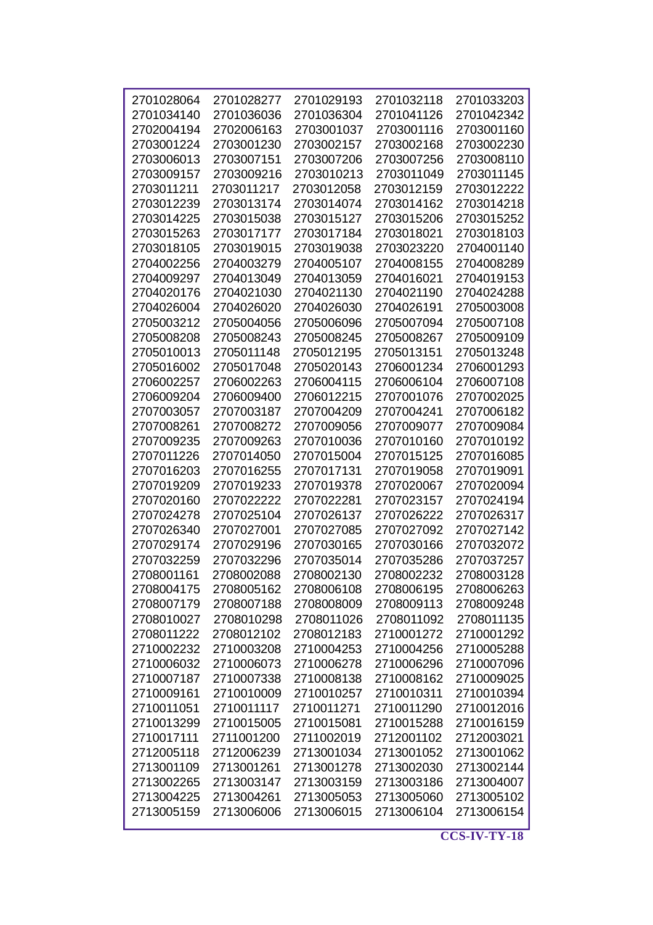| 2701028064 | 2701028277 | 2701029193 | 2701032118 | 2701033203 |
|------------|------------|------------|------------|------------|
| 2701034140 | 2701036036 | 2701036304 | 2701041126 | 2701042342 |
| 2702004194 | 2702006163 | 2703001037 | 2703001116 | 2703001160 |
| 2703001224 | 2703001230 | 2703002157 | 2703002168 | 2703002230 |
| 2703006013 | 2703007151 | 2703007206 | 2703007256 | 2703008110 |
| 2703009157 | 2703009216 | 2703010213 | 2703011049 | 2703011145 |
| 2703011211 | 2703011217 | 2703012058 | 2703012159 | 2703012222 |
| 2703012239 | 2703013174 | 2703014074 | 2703014162 | 2703014218 |
| 2703014225 | 2703015038 | 2703015127 | 2703015206 | 2703015252 |
| 2703015263 | 2703017177 | 2703017184 | 2703018021 | 2703018103 |
| 2703018105 | 2703019015 | 2703019038 | 2703023220 | 2704001140 |
| 2704002256 | 2704003279 | 2704005107 | 2704008155 | 2704008289 |
| 2704009297 | 2704013049 | 2704013059 | 2704016021 | 2704019153 |
| 2704020176 | 2704021030 | 2704021130 | 2704021190 | 2704024288 |
| 2704026004 | 2704026020 | 2704026030 | 2704026191 | 2705003008 |
| 2705003212 | 2705004056 | 2705006096 | 2705007094 | 2705007108 |
| 2705008208 | 2705008243 | 2705008245 | 2705008267 | 2705009109 |
| 2705010013 | 2705011148 | 2705012195 | 2705013151 | 2705013248 |
| 2705016002 | 2705017048 | 2705020143 | 2706001234 | 2706001293 |
| 2706002257 | 2706002263 | 2706004115 | 2706006104 | 2706007108 |
| 2706009204 | 2706009400 | 2706012215 | 2707001076 | 2707002025 |
|            |            |            |            |            |
| 2707003057 | 2707003187 | 2707004209 | 2707004241 | 2707006182 |
| 2707008261 | 2707008272 | 2707009056 | 2707009077 | 2707009084 |
| 2707009235 | 2707009263 | 2707010036 | 2707010160 | 2707010192 |
| 2707011226 | 2707014050 | 2707015004 | 2707015125 | 2707016085 |
| 2707016203 | 2707016255 | 2707017131 | 2707019058 | 2707019091 |
| 2707019209 | 2707019233 | 2707019378 | 2707020067 | 2707020094 |
| 2707020160 | 2707022222 | 2707022281 | 2707023157 | 2707024194 |
| 2707024278 | 2707025104 | 2707026137 | 2707026222 | 2707026317 |
| 2707026340 | 2707027001 | 2707027085 | 2707027092 | 2707027142 |
| 2707029174 | 2707029196 | 2707030165 | 2707030166 | 2707032072 |
| 2707032259 | 2707032296 | 2707035014 | 2707035286 | 2707037257 |
| 2708001161 | 2708002088 | 2708002130 | 2708002232 | 2708003128 |
| 2708004175 | 2708005162 | 2708006108 | 2708006195 | 2708006263 |
| 2708007179 | 2708007188 | 2708008009 | 2708009113 | 2708009248 |
| 2708010027 | 2708010298 | 2708011026 | 2708011092 | 2708011135 |
| 2708011222 | 2708012102 | 2708012183 | 2710001272 | 2710001292 |
| 2710002232 | 2710003208 | 2710004253 | 2710004256 | 2710005288 |
| 2710006032 | 2710006073 | 2710006278 | 2710006296 | 2710007096 |
| 2710007187 | 2710007338 | 2710008138 | 2710008162 | 2710009025 |
| 2710009161 | 2710010009 | 2710010257 | 2710010311 | 2710010394 |
| 2710011051 | 2710011117 | 2710011271 | 2710011290 | 2710012016 |
| 2710013299 | 2710015005 | 2710015081 | 2710015288 | 2710016159 |
| 2710017111 | 2711001200 | 2711002019 | 2712001102 | 2712003021 |
| 2712005118 | 2712006239 | 2713001034 | 2713001052 | 2713001062 |
| 2713001109 | 2713001261 | 2713001278 | 2713002030 | 2713002144 |
| 2713002265 | 2713003147 | 2713003159 | 2713003186 | 2713004007 |
|            | 2713004261 | 2713005053 |            |            |
| 2713004225 |            |            | 2713005060 | 2713005102 |
| 2713005159 | 2713006006 | 2713006015 | 2713006104 | 2713006154 |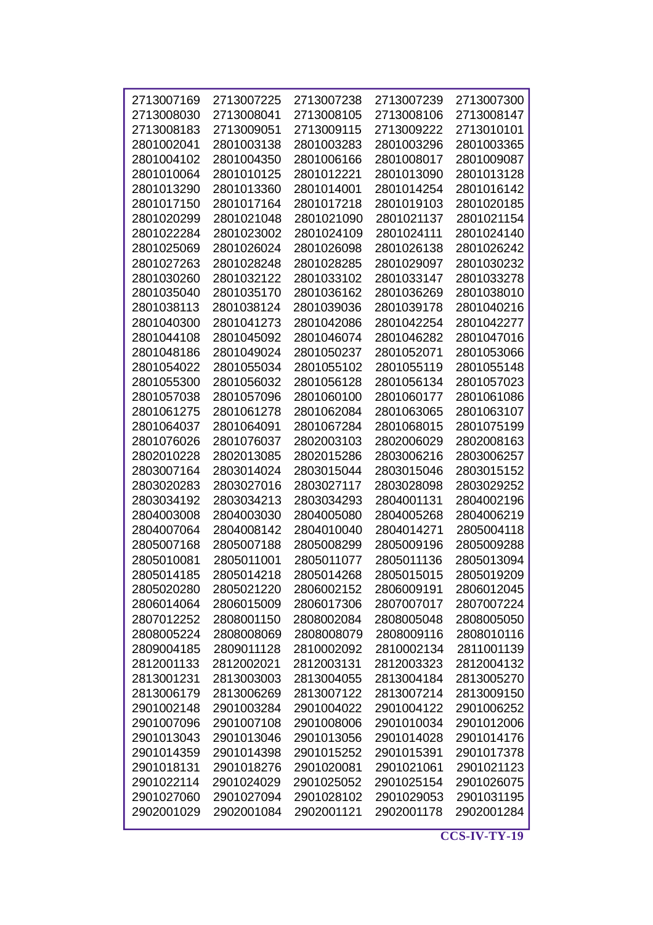| 2713007169 | 2713007225 | 2713007238 | 2713007239 | 2713007300 |
|------------|------------|------------|------------|------------|
| 2713008030 | 2713008041 | 2713008105 | 2713008106 | 2713008147 |
| 2713008183 | 2713009051 | 2713009115 | 2713009222 | 2713010101 |
| 2801002041 | 2801003138 | 2801003283 | 2801003296 | 2801003365 |
| 2801004102 | 2801004350 | 2801006166 | 2801008017 | 2801009087 |
| 2801010064 | 2801010125 | 2801012221 | 2801013090 | 2801013128 |
| 2801013290 | 2801013360 | 2801014001 | 2801014254 | 2801016142 |
| 2801017150 | 2801017164 | 2801017218 | 2801019103 | 2801020185 |
| 2801020299 | 2801021048 | 2801021090 | 2801021137 | 2801021154 |
| 2801022284 | 2801023002 | 2801024109 | 2801024111 | 2801024140 |
| 2801025069 | 2801026024 | 2801026098 | 2801026138 | 2801026242 |
|            |            |            |            |            |
| 2801027263 | 2801028248 | 2801028285 | 2801029097 | 2801030232 |
| 2801030260 | 2801032122 | 2801033102 | 2801033147 | 2801033278 |
| 2801035040 | 2801035170 | 2801036162 | 2801036269 | 2801038010 |
| 2801038113 | 2801038124 | 2801039036 | 2801039178 | 2801040216 |
| 2801040300 | 2801041273 | 2801042086 | 2801042254 | 2801042277 |
| 2801044108 | 2801045092 | 2801046074 | 2801046282 | 2801047016 |
| 2801048186 | 2801049024 | 2801050237 | 2801052071 | 2801053066 |
| 2801054022 | 2801055034 | 2801055102 | 2801055119 | 2801055148 |
| 2801055300 | 2801056032 | 2801056128 | 2801056134 | 2801057023 |
| 2801057038 | 2801057096 | 2801060100 | 2801060177 | 2801061086 |
| 2801061275 | 2801061278 | 2801062084 | 2801063065 | 2801063107 |
| 2801064037 | 2801064091 | 2801067284 | 2801068015 | 2801075199 |
| 2801076026 | 2801076037 | 2802003103 | 2802006029 | 2802008163 |
| 2802010228 | 2802013085 | 2802015286 | 2803006216 | 2803006257 |
| 2803007164 | 2803014024 | 2803015044 | 2803015046 | 2803015152 |
| 2803020283 | 2803027016 | 2803027117 | 2803028098 | 2803029252 |
| 2803034192 | 2803034213 | 2803034293 | 2804001131 | 2804002196 |
| 2804003008 | 2804003030 | 2804005080 | 2804005268 | 2804006219 |
| 2804007064 | 2804008142 | 2804010040 | 2804014271 | 2805004118 |
| 2805007168 | 2805007188 | 2805008299 | 2805009196 | 2805009288 |
| 2805010081 | 2805011001 | 2805011077 | 2805011136 | 2805013094 |
| 2805014185 | 2805014218 | 2805014268 | 2805015015 | 2805019209 |
| 2805020280 | 2805021220 | 2806002152 | 2806009191 | 2806012045 |
| 2806014064 | 2806015009 | 2806017306 | 2807007017 | 2807007224 |
| 2807012252 | 2808001150 | 2808002084 | 2808005048 | 2808005050 |
| 2808005224 | 2808008069 | 2808008079 | 2808009116 | 2808010116 |
| 2809004185 | 2809011128 | 2810002092 | 2810002134 | 2811001139 |
| 2812001133 | 2812002021 | 2812003131 | 2812003323 | 2812004132 |
| 2813001231 | 2813003003 | 2813004055 | 2813004184 | 2813005270 |
| 2813006179 | 2813006269 | 2813007122 | 2813007214 | 2813009150 |
| 2901002148 | 2901003284 | 2901004022 | 2901004122 | 2901006252 |
| 2901007096 | 2901007108 | 2901008006 | 2901010034 | 2901012006 |
| 2901013043 | 2901013046 | 2901013056 | 2901014028 | 2901014176 |
| 2901014359 | 2901014398 | 2901015252 | 2901015391 | 2901017378 |
| 2901018131 | 2901018276 | 2901020081 | 2901021061 | 2901021123 |
| 2901022114 | 2901024029 | 2901025052 | 2901025154 | 2901026075 |
| 2901027060 | 2901027094 | 2901028102 | 2901029053 | 2901031195 |
| 2902001029 | 2902001084 | 2902001121 | 2902001178 | 2902001284 |
|            |            |            |            |            |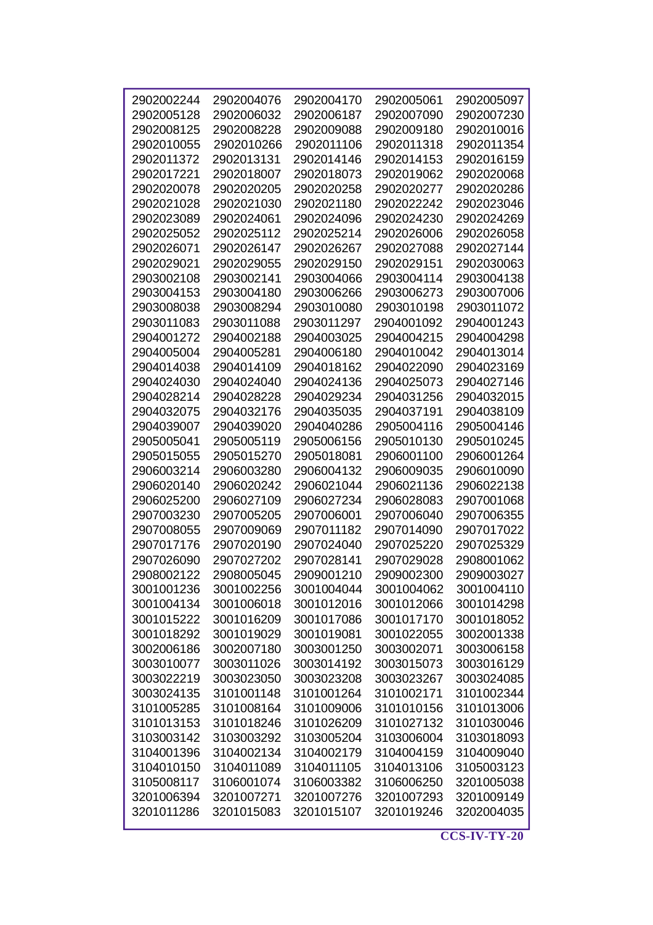| 2902002244 | 2902004076 | 2902004170 | 2902005061 | 2902005097 |
|------------|------------|------------|------------|------------|
| 2902005128 | 2902006032 | 2902006187 | 2902007090 | 2902007230 |
| 2902008125 | 2902008228 | 2902009088 | 2902009180 | 2902010016 |
| 2902010055 | 2902010266 | 2902011106 | 2902011318 | 2902011354 |
| 2902011372 | 2902013131 | 2902014146 | 2902014153 | 2902016159 |
| 2902017221 | 2902018007 | 2902018073 | 2902019062 | 2902020068 |
| 2902020078 | 2902020205 | 2902020258 | 2902020277 | 2902020286 |
| 2902021028 | 2902021030 | 2902021180 | 2902022242 | 2902023046 |
| 2902023089 | 2902024061 | 2902024096 | 2902024230 | 2902024269 |
| 2902025052 | 2902025112 | 2902025214 | 2902026006 | 2902026058 |
| 2902026071 | 2902026147 | 2902026267 | 2902027088 | 2902027144 |
| 2902029021 | 2902029055 | 2902029150 | 2902029151 | 2902030063 |
| 2903002108 | 2903002141 | 2903004066 | 2903004114 | 2903004138 |
| 2903004153 | 2903004180 | 2903006266 | 2903006273 | 2903007006 |
| 2903008038 | 2903008294 | 2903010080 | 2903010198 | 2903011072 |
| 2903011083 | 2903011088 | 2903011297 | 2904001092 | 2904001243 |
| 2904001272 | 2904002188 | 2904003025 | 2904004215 | 2904004298 |
| 2904005004 | 2904005281 | 2904006180 | 2904010042 | 2904013014 |
| 2904014038 | 2904014109 | 2904018162 |            |            |
|            |            |            | 2904022090 | 2904023169 |
| 2904024030 | 2904024040 | 2904024136 | 2904025073 | 2904027146 |
| 2904028214 | 2904028228 | 2904029234 | 2904031256 | 2904032015 |
| 2904032075 | 2904032176 | 2904035035 | 2904037191 | 2904038109 |
| 2904039007 | 2904039020 | 2904040286 | 2905004116 | 2905004146 |
| 2905005041 | 2905005119 | 2905006156 | 2905010130 | 2905010245 |
| 2905015055 | 2905015270 | 2905018081 | 2906001100 | 2906001264 |
| 2906003214 | 2906003280 | 2906004132 | 2906009035 | 2906010090 |
| 2906020140 | 2906020242 | 2906021044 | 2906021136 | 2906022138 |
| 2906025200 | 2906027109 | 2906027234 | 2906028083 | 2907001068 |
| 2907003230 | 2907005205 | 2907006001 | 2907006040 | 2907006355 |
| 2907008055 | 2907009069 | 2907011182 | 2907014090 | 2907017022 |
| 2907017176 | 2907020190 | 2907024040 | 2907025220 | 2907025329 |
| 2907026090 | 2907027202 | 2907028141 | 2907029028 | 2908001062 |
| 2908002122 | 2908005045 | 2909001210 | 2909002300 | 2909003027 |
| 3001001236 | 3001002256 | 3001004044 | 3001004062 | 3001004110 |
| 3001004134 | 3001006018 | 3001012016 | 3001012066 | 3001014298 |
| 3001015222 | 3001016209 | 3001017086 | 3001017170 | 3001018052 |
| 3001018292 | 3001019029 | 3001019081 | 3001022055 | 3002001338 |
| 3002006186 | 3002007180 | 3003001250 | 3003002071 | 3003006158 |
| 3003010077 | 3003011026 | 3003014192 | 3003015073 | 3003016129 |
| 3003022219 | 3003023050 | 3003023208 | 3003023267 | 3003024085 |
| 3003024135 | 3101001148 | 3101001264 | 3101002171 | 3101002344 |
| 3101005285 | 3101008164 | 3101009006 | 3101010156 | 3101013006 |
| 3101013153 | 3101018246 | 3101026209 | 3101027132 | 3101030046 |
| 3103003142 | 3103003292 | 3103005204 | 3103006004 | 3103018093 |
| 3104001396 | 3104002134 | 3104002179 | 3104004159 | 3104009040 |
| 3104010150 | 3104011089 | 3104011105 | 3104013106 | 3105003123 |
| 3105008117 | 3106001074 | 3106003382 | 3106006250 | 3201005038 |
| 3201006394 | 3201007271 | 3201007276 | 3201007293 |            |
|            |            |            |            | 3201009149 |
| 3201011286 | 3201015083 | 3201015107 | 3201019246 | 3202004035 |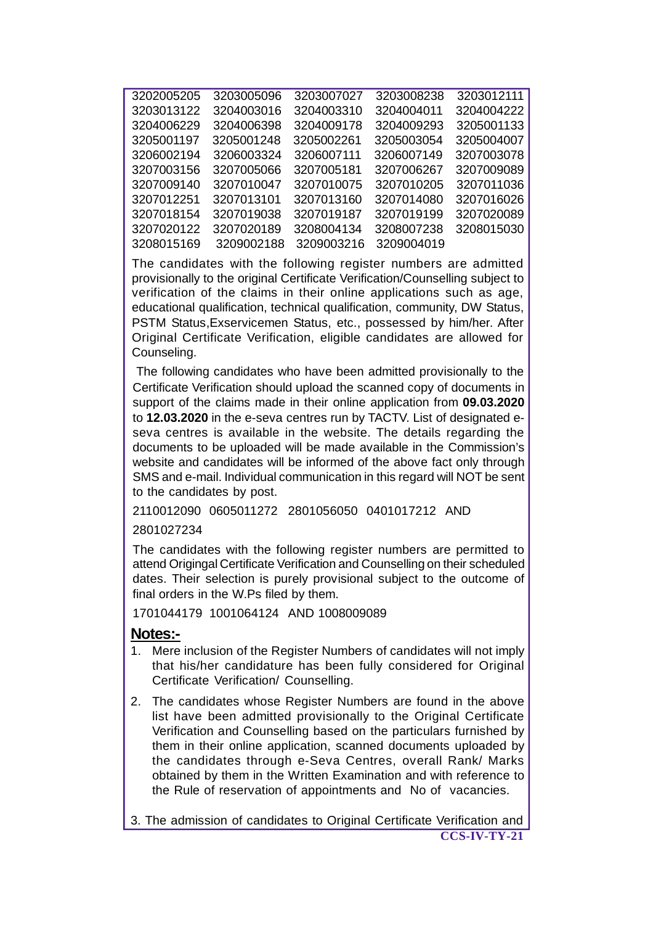| 3202005205 | 3203005096 | 3203007027 | 3203008238 | 3203012111 |
|------------|------------|------------|------------|------------|
| 3203013122 | 3204003016 | 3204003310 | 3204004011 | 3204004222 |
| 3204006229 | 3204006398 | 3204009178 | 3204009293 | 3205001133 |
| 3205001197 | 3205001248 | 3205002261 | 3205003054 | 3205004007 |
| 3206002194 | 3206003324 | 3206007111 | 3206007149 | 3207003078 |
| 3207003156 | 3207005066 | 3207005181 | 3207006267 | 3207009089 |
| 3207009140 | 3207010047 | 3207010075 | 3207010205 | 3207011036 |
| 3207012251 | 3207013101 | 3207013160 | 3207014080 | 3207016026 |
| 3207018154 | 3207019038 | 3207019187 | 3207019199 | 3207020089 |
| 3207020122 | 3207020189 | 3208004134 | 3208007238 | 3208015030 |
| 3208015169 | 3209002188 | 3209003216 | 3209004019 |            |
|            |            |            |            |            |

The candidates with the following register numbers are admitted provisionally to the original Certificate Verification/Counselling subject to verification of the claims in their online applications such as age, educational qualification, technical qualification, community, DW Status, PSTM Status,Exservicemen Status, etc., possessed by him/her. After Original Certificate Verification, eligible candidates are allowed for Counseling.

 The following candidates who have been admitted provisionally to the Certificate Verification should upload the scanned copy of documents in support of the claims made in their online application from **09.03.2020** to **12.03.2020** in the e-seva centres run by TACTV. List of designated eseva centres is available in the website. The details regarding the documents to be uploaded will be made available in the Commission's website and candidates will be informed of the above fact only through SMS and e-mail. Individual communication in this regard will NOT be sent to the candidates by post.

2110012090 0605011272 2801056050 0401017212 AND

## 2801027234

The candidates with the following register numbers are permitted to attend Origingal Certificate Verification and Counselling on their scheduled dates. Their selection is purely provisional subject to the outcome of final orders in the W.Ps filed by them.

1701044179 1001064124 AND 1008009089

## **Notes:-**

- 1. Mere inclusion of the Register Numbers of candidates will not imply that his/her candidature has been fully considered for Original Certificate Verification/ Counselling.
- 2. The candidates whose Register Numbers are found in the above list have been admitted provisionally to the Original Certificate Verification and Counselling based on the particulars furnished by them in their online application, scanned documents uploaded by the candidates through e-Seva Centres, overall Rank/ Marks obtained by them in the Written Examination and with reference to the Rule of reservation of appointments and No of vacancies.

**CCS-IV-TY-21** 3. The admission of candidates to Original Certificate Verification and